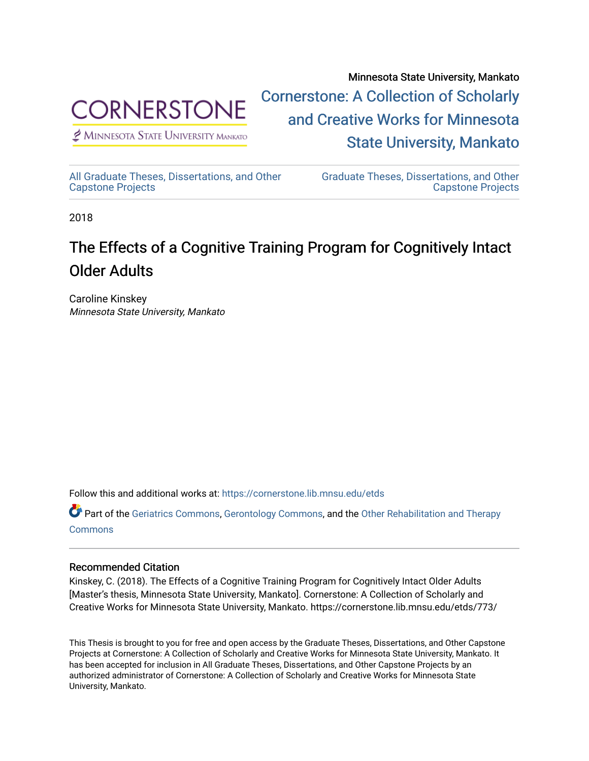

 $<sup>2</sup>$  Minnesota State University Mankato</sup>

Minnesota State University, Mankato [Cornerstone: A Collection of Scholarly](https://cornerstone.lib.mnsu.edu/)  [and Creative Works for Minnesota](https://cornerstone.lib.mnsu.edu/)  [State University, Mankato](https://cornerstone.lib.mnsu.edu/) 

[All Graduate Theses, Dissertations, and Other](https://cornerstone.lib.mnsu.edu/etds)  [Capstone Projects](https://cornerstone.lib.mnsu.edu/etds) 

[Graduate Theses, Dissertations, and Other](https://cornerstone.lib.mnsu.edu/theses_dissertations-capstone)  [Capstone Projects](https://cornerstone.lib.mnsu.edu/theses_dissertations-capstone) 

2018

# The Effects of a Cognitive Training Program for Cognitively Intact Older Adults

Caroline Kinskey Minnesota State University, Mankato

Follow this and additional works at: [https://cornerstone.lib.mnsu.edu/etds](https://cornerstone.lib.mnsu.edu/etds?utm_source=cornerstone.lib.mnsu.edu%2Fetds%2F773&utm_medium=PDF&utm_campaign=PDFCoverPages) 

Part of the [Geriatrics Commons,](http://network.bepress.com/hgg/discipline/688?utm_source=cornerstone.lib.mnsu.edu%2Fetds%2F773&utm_medium=PDF&utm_campaign=PDFCoverPages) [Gerontology Commons,](http://network.bepress.com/hgg/discipline/1276?utm_source=cornerstone.lib.mnsu.edu%2Fetds%2F773&utm_medium=PDF&utm_campaign=PDFCoverPages) and the Other Rehabilitation and Therapy **[Commons](http://network.bepress.com/hgg/discipline/758?utm_source=cornerstone.lib.mnsu.edu%2Fetds%2F773&utm_medium=PDF&utm_campaign=PDFCoverPages)** 

## Recommended Citation

Kinskey, C. (2018). The Effects of a Cognitive Training Program for Cognitively Intact Older Adults [Master's thesis, Minnesota State University, Mankato]. Cornerstone: A Collection of Scholarly and Creative Works for Minnesota State University, Mankato. https://cornerstone.lib.mnsu.edu/etds/773/

This Thesis is brought to you for free and open access by the Graduate Theses, Dissertations, and Other Capstone Projects at Cornerstone: A Collection of Scholarly and Creative Works for Minnesota State University, Mankato. It has been accepted for inclusion in All Graduate Theses, Dissertations, and Other Capstone Projects by an authorized administrator of Cornerstone: A Collection of Scholarly and Creative Works for Minnesota State University, Mankato.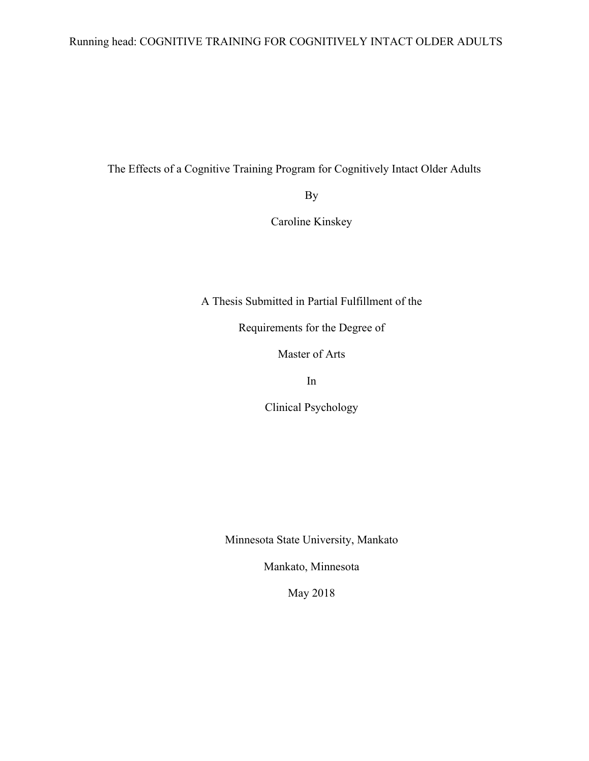## Running head: COGNITIVE TRAINING FOR COGNITIVELY INTACT OLDER ADULTS

The Effects of a Cognitive Training Program for Cognitively Intact Older Adults

By

Caroline Kinskey

A Thesis Submitted in Partial Fulfillment of the

Requirements for the Degree of

Master of Arts

In

Clinical Psychology

Minnesota State University, Mankato

Mankato, Minnesota

May 2018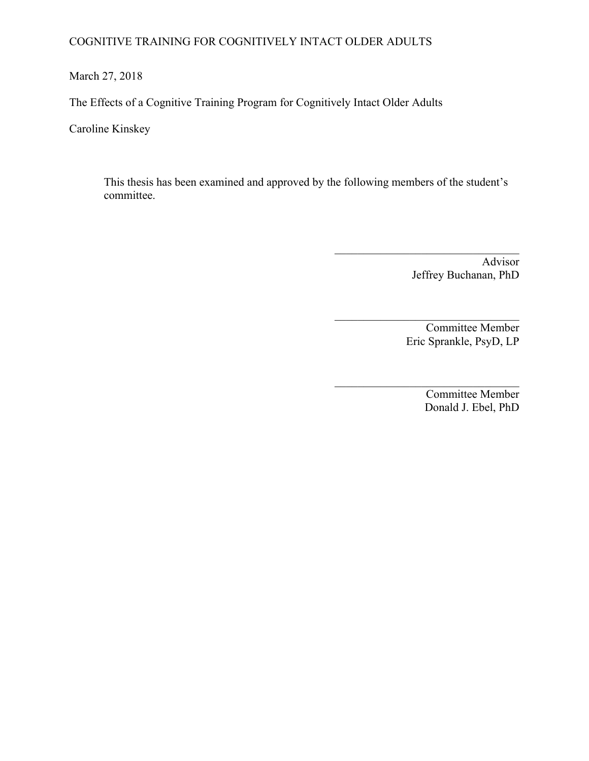## COGNITIVE TRAINING FOR COGNITIVELY INTACT OLDER ADULTS

March 27, 2018

The Effects of a Cognitive Training Program for Cognitively Intact Older Adults

Caroline Kinskey

This thesis has been examined and approved by the following members of the student's committee.

> Advisor Jeffrey Buchanan, PhD

 $\mathcal{L}_\text{max}$ 

 $\mathcal{L}_\text{max}$  , where  $\mathcal{L}_\text{max}$  and  $\mathcal{L}_\text{max}$  and  $\mathcal{L}_\text{max}$ 

Committee Member Eric Sprankle, PsyD, LP

 $\mathcal{L}_\text{max}$ Committee Member Donald J. Ebel, PhD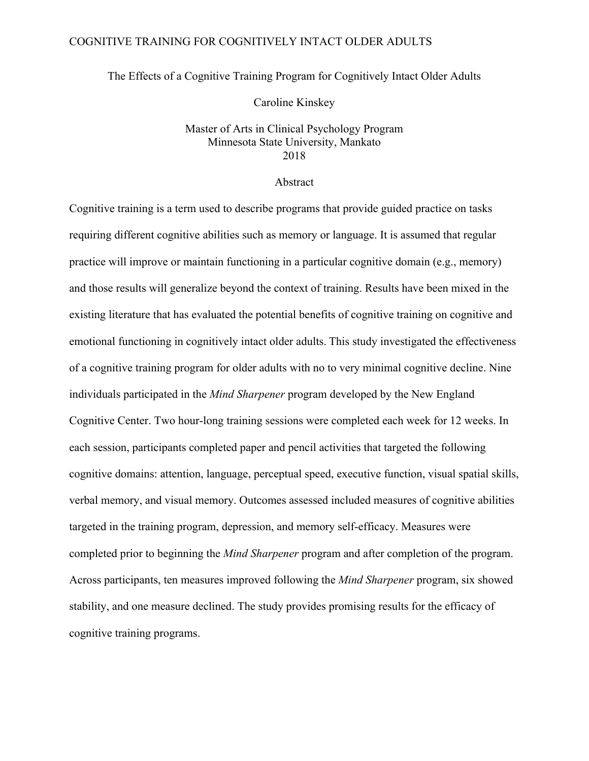## COGNITIVE TRAINING FOR COGNITIVELY INTACT OLDER ADULTS

The Effects of a Cognitive Training Program for Cognitively Intact Older Adults

Caroline Kinskey

## Master of Arts in Clinical Psychology Program Minnesota State University, Mankato 2018

### Abstract

Cognitive training is a term used to describe programs that provide guided practice on tasks requiring different cognitive abilities such as memory or language. It is assumed that regular practice will improve or maintain functioning in a particular cognitive domain (e.g., memory) and those results will generalize beyond the context of training. Results have been mixed in the existing literature that has evaluated the potential benefits of cognitive training on cognitive and emotional functioning in cognitively intact older adults. This study investigated the effectiveness of a cognitive training program for older adults with no to very minimal cognitive decline. Nine individuals participated in the *Mind Sharpener* program developed by the New England Cognitive Center. Two hour-long training sessions were completed each week for 12 weeks. In each session, participants completed paper and pencil activities that targeted the following cognitive domains: attention, language, perceptual speed, executive function, visual spatial skills, verbal memory, and visual memory. Outcomes assessed included measures of cognitive abilities targeted in the training program, depression, and memory self-efficacy. Measures were completed prior to beginning the *Mind Sharpener* program and after completion of the program. Across participants, ten measures improved following the *Mind Sharpener* program, six showed stability, and one measure declined. The study provides promising results for the efficacy of cognitive training programs.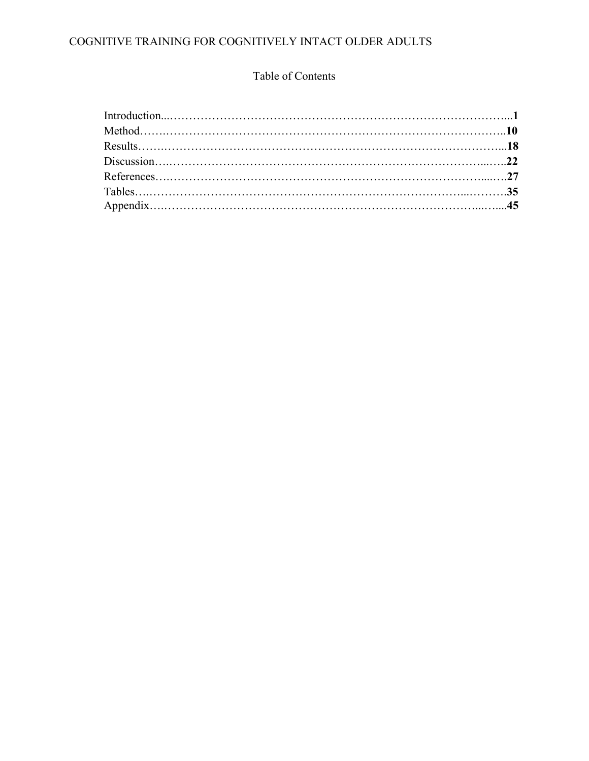## COGNITIVE TRAINING FOR COGNITIVELY INTACT OLDER ADULTS

## Table of Contents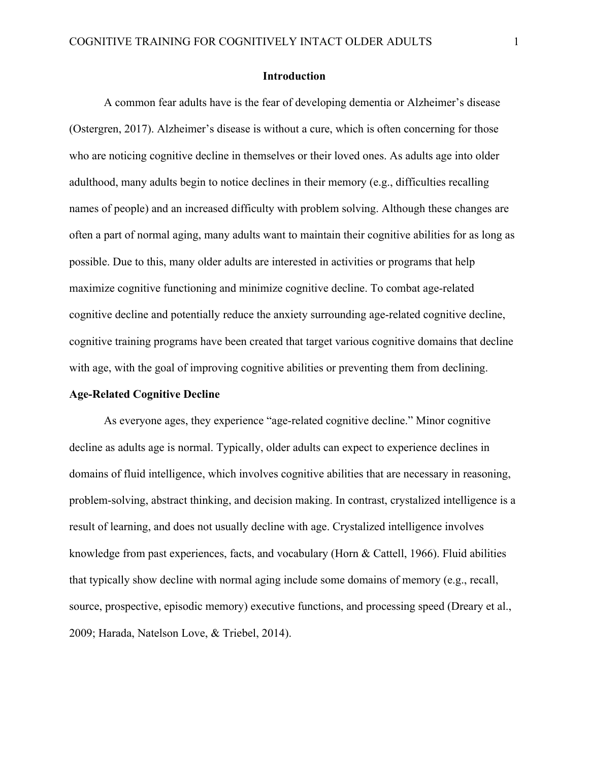## **Introduction**

A common fear adults have is the fear of developing dementia or Alzheimer's disease (Ostergren, 2017). Alzheimer's disease is without a cure, which is often concerning for those who are noticing cognitive decline in themselves or their loved ones. As adults age into older adulthood, many adults begin to notice declines in their memory (e.g., difficulties recalling names of people) and an increased difficulty with problem solving. Although these changes are often a part of normal aging, many adults want to maintain their cognitive abilities for as long as possible. Due to this, many older adults are interested in activities or programs that help maximize cognitive functioning and minimize cognitive decline. To combat age-related cognitive decline and potentially reduce the anxiety surrounding age-related cognitive decline, cognitive training programs have been created that target various cognitive domains that decline with age, with the goal of improving cognitive abilities or preventing them from declining.

#### **Age-Related Cognitive Decline**

As everyone ages, they experience "age-related cognitive decline." Minor cognitive decline as adults age is normal. Typically, older adults can expect to experience declines in domains of fluid intelligence, which involves cognitive abilities that are necessary in reasoning, problem-solving, abstract thinking, and decision making. In contrast, crystalized intelligence is a result of learning, and does not usually decline with age. Crystalized intelligence involves knowledge from past experiences, facts, and vocabulary (Horn & Cattell, 1966). Fluid abilities that typically show decline with normal aging include some domains of memory (e.g., recall, source, prospective, episodic memory) executive functions, and processing speed (Dreary et al., 2009; Harada, Natelson Love, & Triebel, 2014).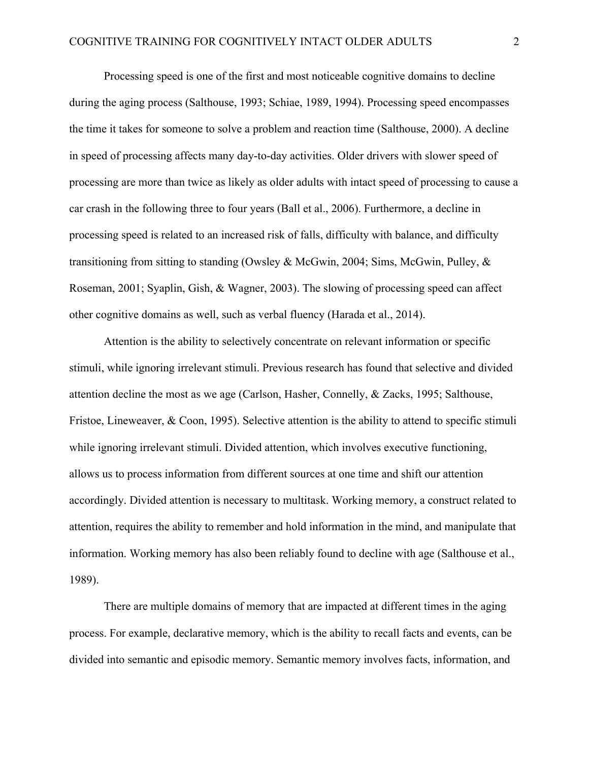Processing speed is one of the first and most noticeable cognitive domains to decline during the aging process (Salthouse, 1993; Schiae, 1989, 1994). Processing speed encompasses the time it takes for someone to solve a problem and reaction time (Salthouse, 2000). A decline in speed of processing affects many day-to-day activities. Older drivers with slower speed of processing are more than twice as likely as older adults with intact speed of processing to cause a car crash in the following three to four years (Ball et al., 2006). Furthermore, a decline in processing speed is related to an increased risk of falls, difficulty with balance, and difficulty transitioning from sitting to standing (Owsley & McGwin, 2004; Sims, McGwin, Pulley, & Roseman, 2001; Syaplin, Gish, & Wagner, 2003). The slowing of processing speed can affect other cognitive domains as well, such as verbal fluency (Harada et al., 2014).

Attention is the ability to selectively concentrate on relevant information or specific stimuli, while ignoring irrelevant stimuli. Previous research has found that selective and divided attention decline the most as we age (Carlson, Hasher, Connelly, & Zacks, 1995; Salthouse, Fristoe, Lineweaver, & Coon, 1995). Selective attention is the ability to attend to specific stimuli while ignoring irrelevant stimuli. Divided attention, which involves executive functioning, allows us to process information from different sources at one time and shift our attention accordingly. Divided attention is necessary to multitask. Working memory, a construct related to attention, requires the ability to remember and hold information in the mind, and manipulate that information. Working memory has also been reliably found to decline with age (Salthouse et al., 1989).

There are multiple domains of memory that are impacted at different times in the aging process. For example, declarative memory, which is the ability to recall facts and events, can be divided into semantic and episodic memory. Semantic memory involves facts, information, and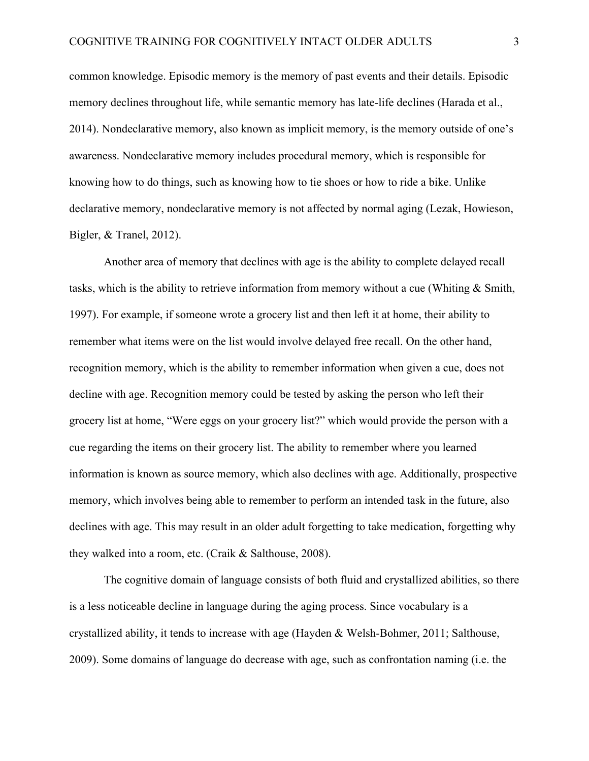common knowledge. Episodic memory is the memory of past events and their details. Episodic memory declines throughout life, while semantic memory has late-life declines (Harada et al., 2014). Nondeclarative memory, also known as implicit memory, is the memory outside of one's awareness. Nondeclarative memory includes procedural memory, which is responsible for knowing how to do things, such as knowing how to tie shoes or how to ride a bike. Unlike declarative memory, nondeclarative memory is not affected by normal aging (Lezak, Howieson, Bigler, & Tranel, 2012).

Another area of memory that declines with age is the ability to complete delayed recall tasks, which is the ability to retrieve information from memory without a cue (Whiting & Smith, 1997). For example, if someone wrote a grocery list and then left it at home, their ability to remember what items were on the list would involve delayed free recall. On the other hand, recognition memory, which is the ability to remember information when given a cue, does not decline with age. Recognition memory could be tested by asking the person who left their grocery list at home, "Were eggs on your grocery list?" which would provide the person with a cue regarding the items on their grocery list. The ability to remember where you learned information is known as source memory, which also declines with age. Additionally, prospective memory, which involves being able to remember to perform an intended task in the future, also declines with age. This may result in an older adult forgetting to take medication, forgetting why they walked into a room, etc. (Craik & Salthouse, 2008).

The cognitive domain of language consists of both fluid and crystallized abilities, so there is a less noticeable decline in language during the aging process. Since vocabulary is a crystallized ability, it tends to increase with age (Hayden & Welsh-Bohmer, 2011; Salthouse, 2009). Some domains of language do decrease with age, such as confrontation naming (i.e. the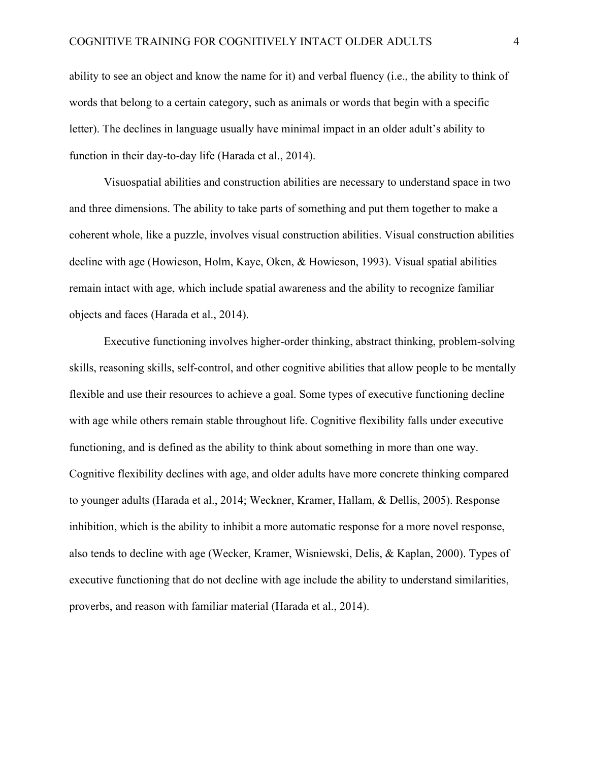ability to see an object and know the name for it) and verbal fluency (i.e., the ability to think of words that belong to a certain category, such as animals or words that begin with a specific letter). The declines in language usually have minimal impact in an older adult's ability to function in their day-to-day life (Harada et al., 2014).

Visuospatial abilities and construction abilities are necessary to understand space in two and three dimensions. The ability to take parts of something and put them together to make a coherent whole, like a puzzle, involves visual construction abilities. Visual construction abilities decline with age (Howieson, Holm, Kaye, Oken, & Howieson, 1993). Visual spatial abilities remain intact with age, which include spatial awareness and the ability to recognize familiar objects and faces (Harada et al., 2014).

Executive functioning involves higher-order thinking, abstract thinking, problem-solving skills, reasoning skills, self-control, and other cognitive abilities that allow people to be mentally flexible and use their resources to achieve a goal. Some types of executive functioning decline with age while others remain stable throughout life. Cognitive flexibility falls under executive functioning, and is defined as the ability to think about something in more than one way. Cognitive flexibility declines with age, and older adults have more concrete thinking compared to younger adults (Harada et al., 2014; Weckner, Kramer, Hallam, & Dellis, 2005). Response inhibition, which is the ability to inhibit a more automatic response for a more novel response, also tends to decline with age (Wecker, Kramer, Wisniewski, Delis, & Kaplan, 2000). Types of executive functioning that do not decline with age include the ability to understand similarities, proverbs, and reason with familiar material (Harada et al., 2014).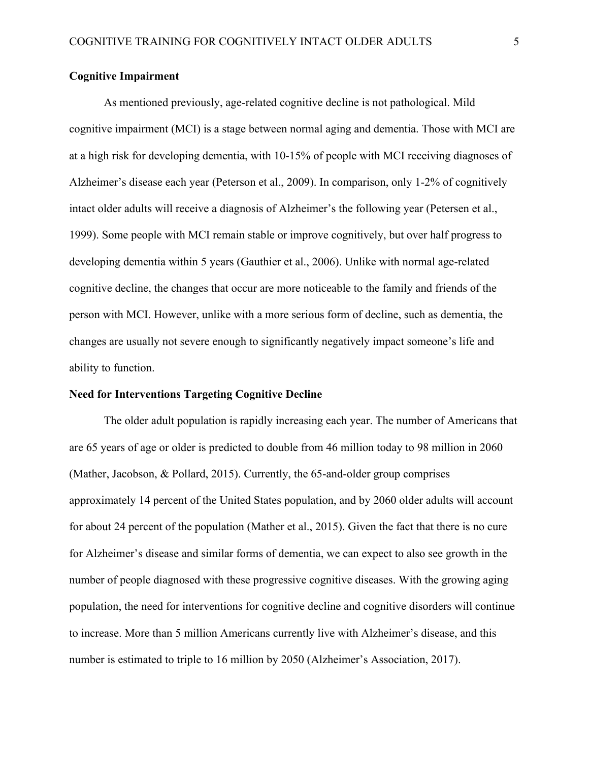## **Cognitive Impairment**

As mentioned previously, age-related cognitive decline is not pathological. Mild cognitive impairment (MCI) is a stage between normal aging and dementia. Those with MCI are at a high risk for developing dementia, with 10-15% of people with MCI receiving diagnoses of Alzheimer's disease each year (Peterson et al., 2009). In comparison, only 1-2% of cognitively intact older adults will receive a diagnosis of Alzheimer's the following year (Petersen et al., 1999). Some people with MCI remain stable or improve cognitively, but over half progress to developing dementia within 5 years (Gauthier et al., 2006). Unlike with normal age-related cognitive decline, the changes that occur are more noticeable to the family and friends of the person with MCI. However, unlike with a more serious form of decline, such as dementia, the changes are usually not severe enough to significantly negatively impact someone's life and ability to function.

### **Need for Interventions Targeting Cognitive Decline**

The older adult population is rapidly increasing each year. The number of Americans that are 65 years of age or older is predicted to double from 46 million today to 98 million in 2060 (Mather, Jacobson, & Pollard, 2015). Currently, the 65-and-older group comprises approximately 14 percent of the United States population, and by 2060 older adults will account for about 24 percent of the population (Mather et al., 2015). Given the fact that there is no cure for Alzheimer's disease and similar forms of dementia, we can expect to also see growth in the number of people diagnosed with these progressive cognitive diseases. With the growing aging population, the need for interventions for cognitive decline and cognitive disorders will continue to increase. More than 5 million Americans currently live with Alzheimer's disease, and this number is estimated to triple to 16 million by 2050 (Alzheimer's Association, 2017).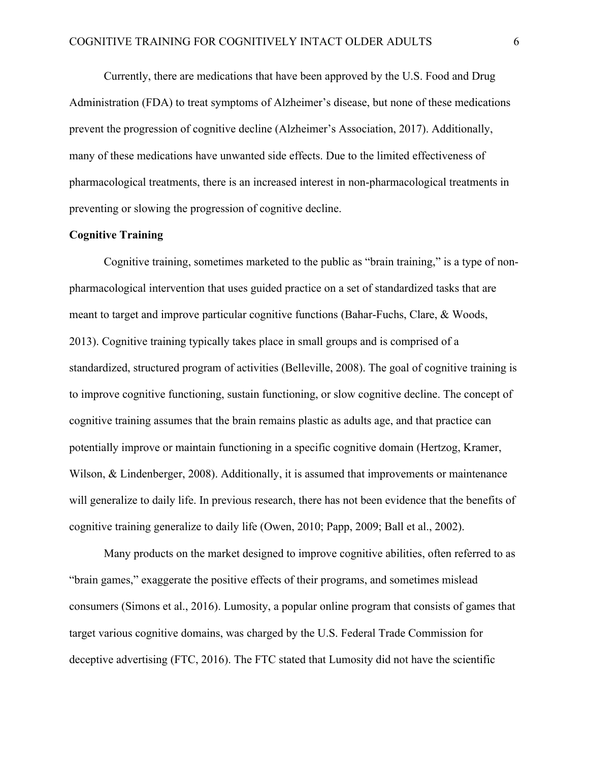Currently, there are medications that have been approved by the U.S. Food and Drug Administration (FDA) to treat symptoms of Alzheimer's disease, but none of these medications prevent the progression of cognitive decline (Alzheimer's Association, 2017). Additionally, many of these medications have unwanted side effects. Due to the limited effectiveness of pharmacological treatments, there is an increased interest in non-pharmacological treatments in preventing or slowing the progression of cognitive decline.

## **Cognitive Training**

Cognitive training, sometimes marketed to the public as "brain training," is a type of nonpharmacological intervention that uses guided practice on a set of standardized tasks that are meant to target and improve particular cognitive functions (Bahar-Fuchs, Clare, & Woods, 2013). Cognitive training typically takes place in small groups and is comprised of a standardized, structured program of activities (Belleville, 2008). The goal of cognitive training is to improve cognitive functioning, sustain functioning, or slow cognitive decline. The concept of cognitive training assumes that the brain remains plastic as adults age, and that practice can potentially improve or maintain functioning in a specific cognitive domain (Hertzog, Kramer, Wilson, & Lindenberger, 2008). Additionally, it is assumed that improvements or maintenance will generalize to daily life. In previous research, there has not been evidence that the benefits of cognitive training generalize to daily life (Owen, 2010; Papp, 2009; Ball et al., 2002).

Many products on the market designed to improve cognitive abilities, often referred to as "brain games," exaggerate the positive effects of their programs, and sometimes mislead consumers (Simons et al., 2016). Lumosity, a popular online program that consists of games that target various cognitive domains, was charged by the U.S. Federal Trade Commission for deceptive advertising (FTC, 2016). The FTC stated that Lumosity did not have the scientific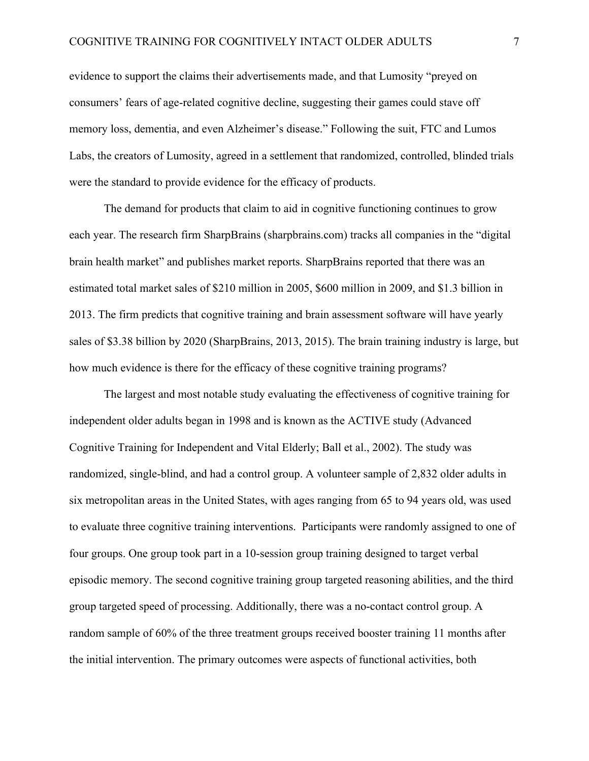evidence to support the claims their advertisements made, and that Lumosity "preyed on consumers' fears of age-related cognitive decline, suggesting their games could stave off memory loss, dementia, and even Alzheimer's disease." Following the suit, FTC and Lumos Labs, the creators of Lumosity, agreed in a settlement that randomized, controlled, blinded trials were the standard to provide evidence for the efficacy of products.

The demand for products that claim to aid in cognitive functioning continues to grow each year. The research firm SharpBrains (sharpbrains.com) tracks all companies in the "digital brain health market" and publishes market reports. SharpBrains reported that there was an estimated total market sales of \$210 million in 2005, \$600 million in 2009, and \$1.3 billion in 2013. The firm predicts that cognitive training and brain assessment software will have yearly sales of \$3.38 billion by 2020 (SharpBrains, 2013, 2015). The brain training industry is large, but how much evidence is there for the efficacy of these cognitive training programs?

The largest and most notable study evaluating the effectiveness of cognitive training for independent older adults began in 1998 and is known as the ACTIVE study (Advanced Cognitive Training for Independent and Vital Elderly; Ball et al., 2002). The study was randomized, single-blind, and had a control group. A volunteer sample of 2,832 older adults in six metropolitan areas in the United States, with ages ranging from 65 to 94 years old, was used to evaluate three cognitive training interventions. Participants were randomly assigned to one of four groups. One group took part in a 10-session group training designed to target verbal episodic memory. The second cognitive training group targeted reasoning abilities, and the third group targeted speed of processing. Additionally, there was a no-contact control group. A random sample of 60% of the three treatment groups received booster training 11 months after the initial intervention. The primary outcomes were aspects of functional activities, both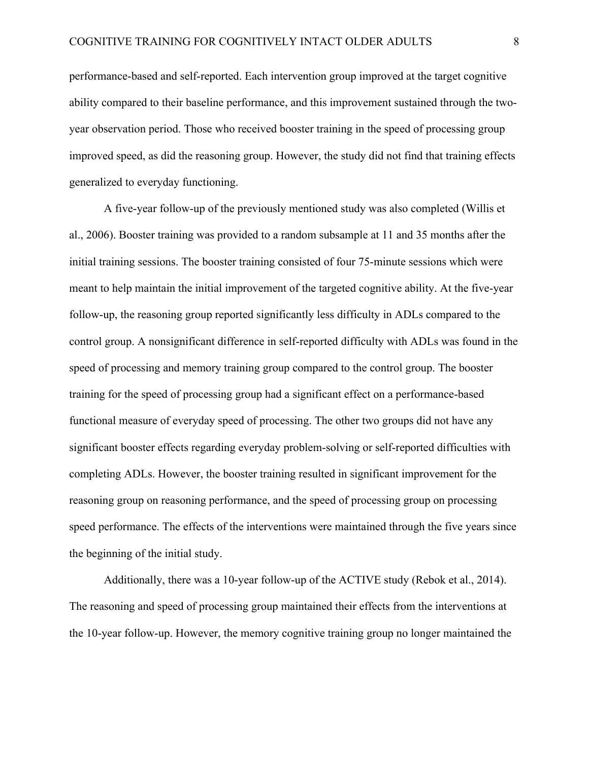performance-based and self-reported. Each intervention group improved at the target cognitive ability compared to their baseline performance, and this improvement sustained through the twoyear observation period. Those who received booster training in the speed of processing group improved speed, as did the reasoning group. However, the study did not find that training effects generalized to everyday functioning.

A five-year follow-up of the previously mentioned study was also completed (Willis et al., 2006). Booster training was provided to a random subsample at 11 and 35 months after the initial training sessions. The booster training consisted of four 75-minute sessions which were meant to help maintain the initial improvement of the targeted cognitive ability. At the five-year follow-up, the reasoning group reported significantly less difficulty in ADLs compared to the control group. A nonsignificant difference in self-reported difficulty with ADLs was found in the speed of processing and memory training group compared to the control group. The booster training for the speed of processing group had a significant effect on a performance-based functional measure of everyday speed of processing. The other two groups did not have any significant booster effects regarding everyday problem-solving or self-reported difficulties with completing ADLs. However, the booster training resulted in significant improvement for the reasoning group on reasoning performance, and the speed of processing group on processing speed performance. The effects of the interventions were maintained through the five years since the beginning of the initial study.

Additionally, there was a 10-year follow-up of the ACTIVE study (Rebok et al., 2014). The reasoning and speed of processing group maintained their effects from the interventions at the 10-year follow-up. However, the memory cognitive training group no longer maintained the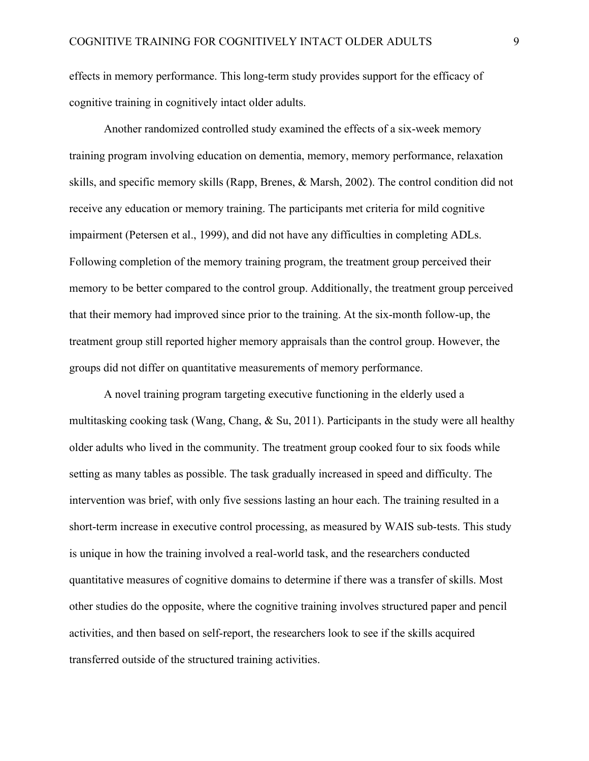effects in memory performance. This long-term study provides support for the efficacy of cognitive training in cognitively intact older adults.

Another randomized controlled study examined the effects of a six-week memory training program involving education on dementia, memory, memory performance, relaxation skills, and specific memory skills (Rapp, Brenes, & Marsh, 2002). The control condition did not receive any education or memory training. The participants met criteria for mild cognitive impairment (Petersen et al., 1999), and did not have any difficulties in completing ADLs. Following completion of the memory training program, the treatment group perceived their memory to be better compared to the control group. Additionally, the treatment group perceived that their memory had improved since prior to the training. At the six-month follow-up, the treatment group still reported higher memory appraisals than the control group. However, the groups did not differ on quantitative measurements of memory performance.

A novel training program targeting executive functioning in the elderly used a multitasking cooking task (Wang, Chang, & Su, 2011). Participants in the study were all healthy older adults who lived in the community. The treatment group cooked four to six foods while setting as many tables as possible. The task gradually increased in speed and difficulty. The intervention was brief, with only five sessions lasting an hour each. The training resulted in a short-term increase in executive control processing, as measured by WAIS sub-tests. This study is unique in how the training involved a real-world task, and the researchers conducted quantitative measures of cognitive domains to determine if there was a transfer of skills. Most other studies do the opposite, where the cognitive training involves structured paper and pencil activities, and then based on self-report, the researchers look to see if the skills acquired transferred outside of the structured training activities.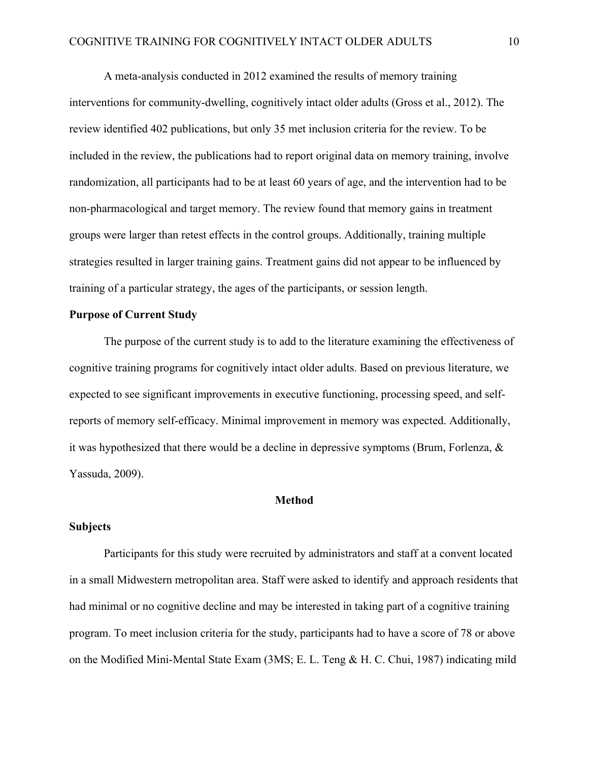A meta-analysis conducted in 2012 examined the results of memory training interventions for community-dwelling, cognitively intact older adults (Gross et al., 2012). The review identified 402 publications, but only 35 met inclusion criteria for the review. To be included in the review, the publications had to report original data on memory training, involve randomization, all participants had to be at least 60 years of age, and the intervention had to be non-pharmacological and target memory. The review found that memory gains in treatment groups were larger than retest effects in the control groups. Additionally, training multiple strategies resulted in larger training gains. Treatment gains did not appear to be influenced by training of a particular strategy, the ages of the participants, or session length.

## **Purpose of Current Study**

The purpose of the current study is to add to the literature examining the effectiveness of cognitive training programs for cognitively intact older adults. Based on previous literature, we expected to see significant improvements in executive functioning, processing speed, and selfreports of memory self-efficacy. Minimal improvement in memory was expected. Additionally, it was hypothesized that there would be a decline in depressive symptoms (Brum, Forlenza, & Yassuda, 2009).

### **Method**

### **Subjects**

Participants for this study were recruited by administrators and staff at a convent located in a small Midwestern metropolitan area. Staff were asked to identify and approach residents that had minimal or no cognitive decline and may be interested in taking part of a cognitive training program. To meet inclusion criteria for the study, participants had to have a score of 78 or above on the Modified Mini-Mental State Exam (3MS; E. L. Teng & H. C. Chui, 1987) indicating mild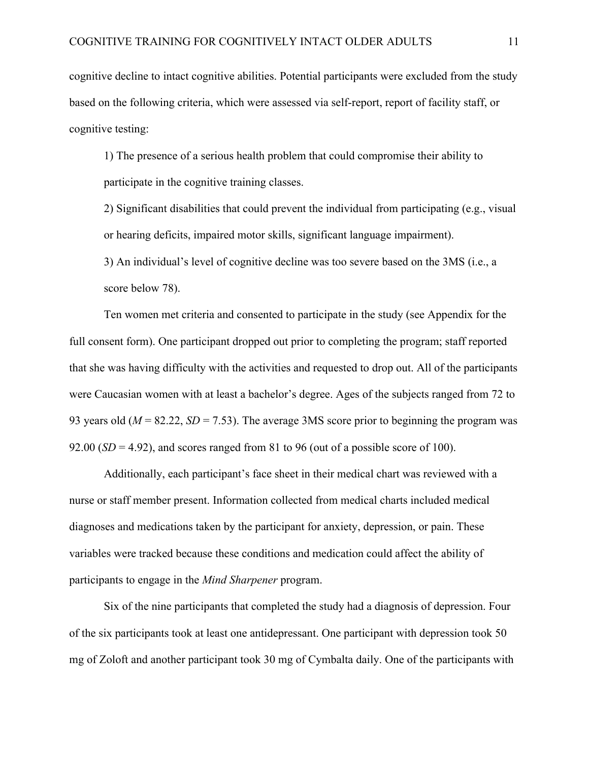cognitive decline to intact cognitive abilities. Potential participants were excluded from the study based on the following criteria, which were assessed via self-report, report of facility staff, or cognitive testing:

1) The presence of a serious health problem that could compromise their ability to participate in the cognitive training classes.

2) Significant disabilities that could prevent the individual from participating (e.g., visual or hearing deficits, impaired motor skills, significant language impairment).

3) An individual's level of cognitive decline was too severe based on the 3MS (i.e., a score below 78).

Ten women met criteria and consented to participate in the study (see Appendix for the full consent form). One participant dropped out prior to completing the program; staff reported that she was having difficulty with the activities and requested to drop out. All of the participants were Caucasian women with at least a bachelor's degree. Ages of the subjects ranged from 72 to 93 years old (*M* = 82.22, *SD* = 7.53). The average 3MS score prior to beginning the program was 92.00  $(SD = 4.92)$ , and scores ranged from 81 to 96 (out of a possible score of 100).

Additionally, each participant's face sheet in their medical chart was reviewed with a nurse or staff member present. Information collected from medical charts included medical diagnoses and medications taken by the participant for anxiety, depression, or pain. These variables were tracked because these conditions and medication could affect the ability of participants to engage in the *Mind Sharpener* program.

Six of the nine participants that completed the study had a diagnosis of depression. Four of the six participants took at least one antidepressant. One participant with depression took 50 mg of Zoloft and another participant took 30 mg of Cymbalta daily. One of the participants with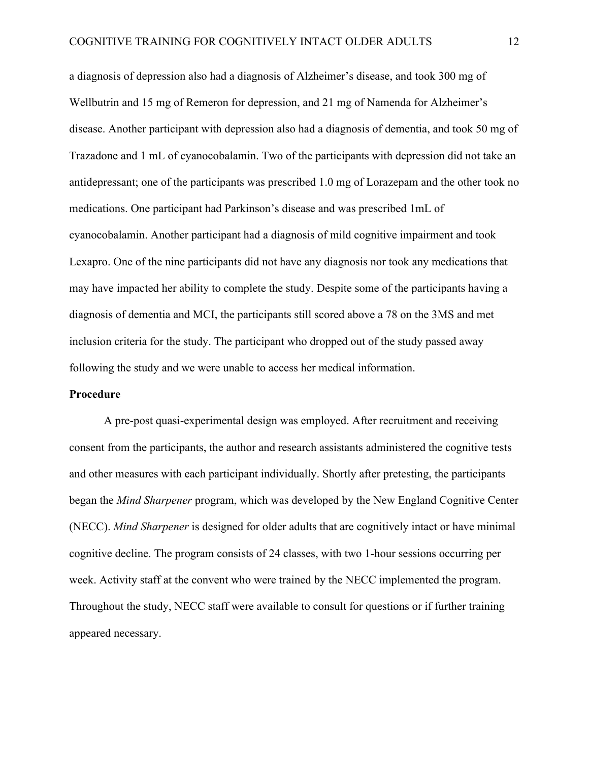a diagnosis of depression also had a diagnosis of Alzheimer's disease, and took 300 mg of Wellbutrin and 15 mg of Remeron for depression, and 21 mg of Namenda for Alzheimer's disease. Another participant with depression also had a diagnosis of dementia, and took 50 mg of Trazadone and 1 mL of cyanocobalamin. Two of the participants with depression did not take an antidepressant; one of the participants was prescribed 1.0 mg of Lorazepam and the other took no medications. One participant had Parkinson's disease and was prescribed 1mL of cyanocobalamin. Another participant had a diagnosis of mild cognitive impairment and took Lexapro. One of the nine participants did not have any diagnosis nor took any medications that may have impacted her ability to complete the study. Despite some of the participants having a diagnosis of dementia and MCI, the participants still scored above a 78 on the 3MS and met inclusion criteria for the study. The participant who dropped out of the study passed away following the study and we were unable to access her medical information.

### **Procedure**

A pre-post quasi-experimental design was employed. After recruitment and receiving consent from the participants, the author and research assistants administered the cognitive tests and other measures with each participant individually. Shortly after pretesting, the participants began the *Mind Sharpener* program, which was developed by the New England Cognitive Center (NECC). *Mind Sharpener* is designed for older adults that are cognitively intact or have minimal cognitive decline. The program consists of 24 classes, with two 1-hour sessions occurring per week. Activity staff at the convent who were trained by the NECC implemented the program. Throughout the study, NECC staff were available to consult for questions or if further training appeared necessary.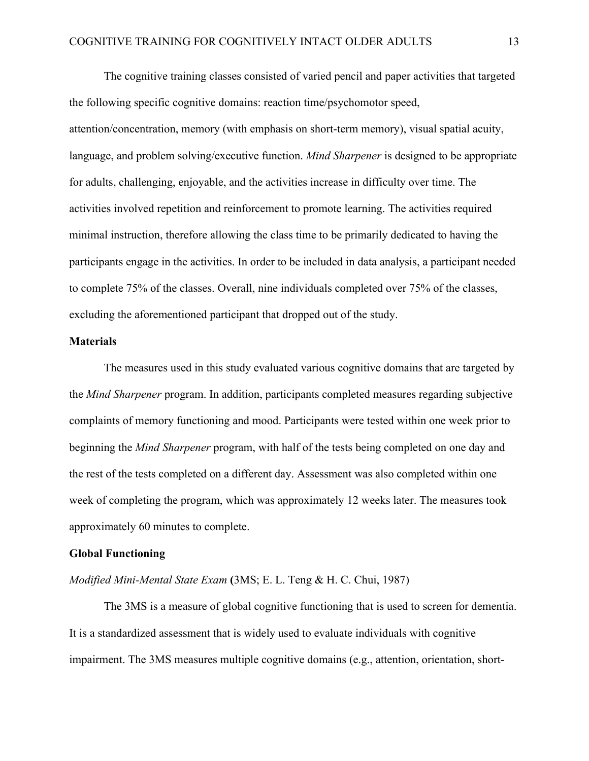The cognitive training classes consisted of varied pencil and paper activities that targeted the following specific cognitive domains: reaction time/psychomotor speed, attention/concentration, memory (with emphasis on short-term memory), visual spatial acuity, language, and problem solving/executive function. *Mind Sharpener* is designed to be appropriate for adults, challenging, enjoyable, and the activities increase in difficulty over time. The activities involved repetition and reinforcement to promote learning. The activities required minimal instruction, therefore allowing the class time to be primarily dedicated to having the participants engage in the activities. In order to be included in data analysis, a participant needed to complete 75% of the classes. Overall, nine individuals completed over 75% of the classes, excluding the aforementioned participant that dropped out of the study.

### **Materials**

The measures used in this study evaluated various cognitive domains that are targeted by the *Mind Sharpener* program. In addition, participants completed measures regarding subjective complaints of memory functioning and mood. Participants were tested within one week prior to beginning the *Mind Sharpener* program, with half of the tests being completed on one day and the rest of the tests completed on a different day. Assessment was also completed within one week of completing the program, which was approximately 12 weeks later. The measures took approximately 60 minutes to complete.

### **Global Functioning**

### *Modified Mini-Mental State Exam* **(**3MS; E. L. Teng & H. C. Chui, 1987)

The 3MS is a measure of global cognitive functioning that is used to screen for dementia. It is a standardized assessment that is widely used to evaluate individuals with cognitive impairment. The 3MS measures multiple cognitive domains (e.g., attention, orientation, short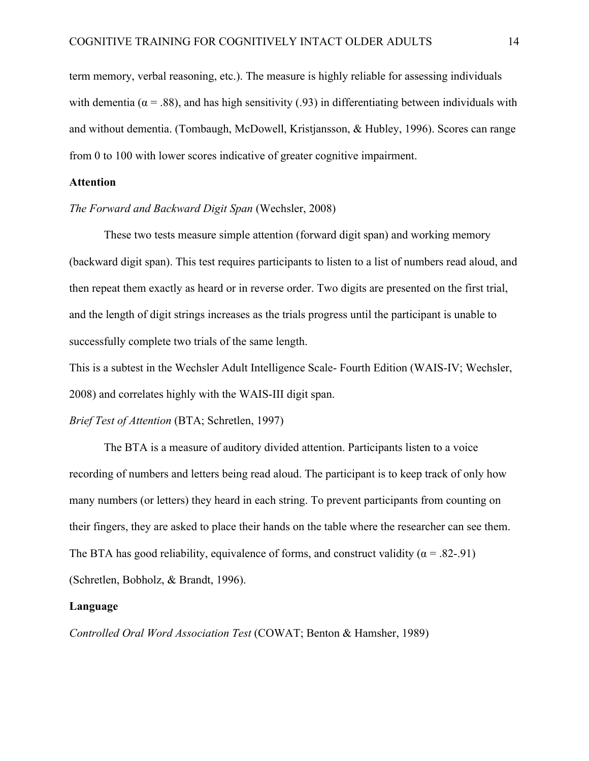term memory, verbal reasoning, etc.). The measure is highly reliable for assessing individuals with dementia ( $\alpha$  = .88), and has high sensitivity (.93) in differentiating between individuals with and without dementia. (Tombaugh, McDowell, Kristjansson, & Hubley, 1996). Scores can range from 0 to 100 with lower scores indicative of greater cognitive impairment.

## **Attention**

### *The Forward and Backward Digit Span* (Wechsler, 2008)

These two tests measure simple attention (forward digit span) and working memory (backward digit span). This test requires participants to listen to a list of numbers read aloud, and then repeat them exactly as heard or in reverse order. Two digits are presented on the first trial, and the length of digit strings increases as the trials progress until the participant is unable to successfully complete two trials of the same length.

This is a subtest in the Wechsler Adult Intelligence Scale- Fourth Edition (WAIS-IV; Wechsler, 2008) and correlates highly with the WAIS-III digit span.

### *Brief Test of Attention* (BTA; Schretlen, 1997)

The BTA is a measure of auditory divided attention. Participants listen to a voice recording of numbers and letters being read aloud. The participant is to keep track of only how many numbers (or letters) they heard in each string. To prevent participants from counting on their fingers, they are asked to place their hands on the table where the researcher can see them. The BTA has good reliability, equivalence of forms, and construct validity ( $\alpha$  = .82-.91) (Schretlen, Bobholz, & Brandt, 1996).

#### **Language**

*Controlled Oral Word Association Test* (COWAT; Benton & Hamsher, 1989)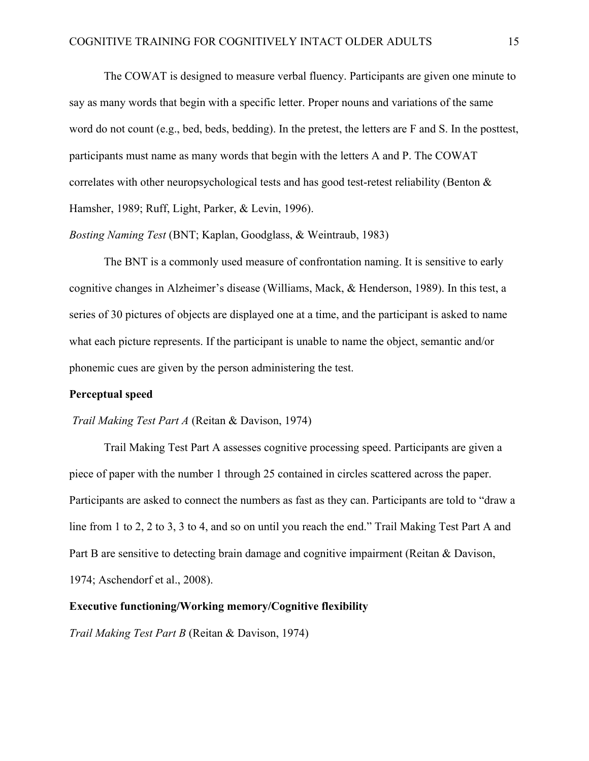The COWAT is designed to measure verbal fluency. Participants are given one minute to say as many words that begin with a specific letter. Proper nouns and variations of the same word do not count (e.g., bed, beds, bedding). In the pretest, the letters are F and S. In the posttest, participants must name as many words that begin with the letters A and P. The COWAT correlates with other neuropsychological tests and has good test-retest reliability (Benton  $\&$ Hamsher, 1989; Ruff, Light, Parker, & Levin, 1996).

*Bosting Naming Test* (BNT; Kaplan, Goodglass, & Weintraub, 1983)

The BNT is a commonly used measure of confrontation naming. It is sensitive to early cognitive changes in Alzheimer's disease (Williams, Mack, & Henderson, 1989). In this test, a series of 30 pictures of objects are displayed one at a time, and the participant is asked to name what each picture represents. If the participant is unable to name the object, semantic and/or phonemic cues are given by the person administering the test.

## **Perceptual speed**

### *Trail Making Test Part A* (Reitan & Davison, 1974)

Trail Making Test Part A assesses cognitive processing speed. Participants are given a piece of paper with the number 1 through 25 contained in circles scattered across the paper. Participants are asked to connect the numbers as fast as they can. Participants are told to "draw a line from 1 to 2, 2 to 3, 3 to 4, and so on until you reach the end." Trail Making Test Part A and Part B are sensitive to detecting brain damage and cognitive impairment (Reitan & Davison, 1974; Aschendorf et al., 2008).

## **Executive functioning/Working memory/Cognitive flexibility**

*Trail Making Test Part B* (Reitan & Davison, 1974)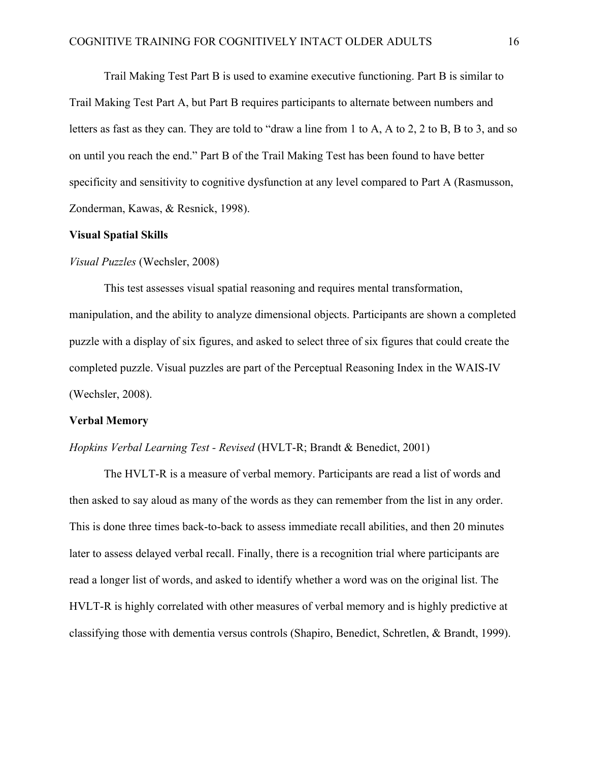Trail Making Test Part B is used to examine executive functioning. Part B is similar to Trail Making Test Part A, but Part B requires participants to alternate between numbers and letters as fast as they can. They are told to "draw a line from 1 to A, A to 2, 2 to B, B to 3, and so on until you reach the end." Part B of the Trail Making Test has been found to have better specificity and sensitivity to cognitive dysfunction at any level compared to Part A (Rasmusson, Zonderman, Kawas, & Resnick, 1998).

## **Visual Spatial Skills**

### *Visual Puzzles* (Wechsler, 2008)

This test assesses visual spatial reasoning and requires mental transformation, manipulation, and the ability to analyze dimensional objects. Participants are shown a completed puzzle with a display of six figures, and asked to select three of six figures that could create the completed puzzle. Visual puzzles are part of the Perceptual Reasoning Index in the WAIS-IV (Wechsler, 2008).

#### **Verbal Memory**

### *Hopkins Verbal Learning Test - Revised* (HVLT-R; Brandt & Benedict, 2001)

The HVLT-R is a measure of verbal memory. Participants are read a list of words and then asked to say aloud as many of the words as they can remember from the list in any order. This is done three times back-to-back to assess immediate recall abilities, and then 20 minutes later to assess delayed verbal recall. Finally, there is a recognition trial where participants are read a longer list of words, and asked to identify whether a word was on the original list. The HVLT-R is highly correlated with other measures of verbal memory and is highly predictive at classifying those with dementia versus controls (Shapiro, Benedict, Schretlen, & Brandt, 1999).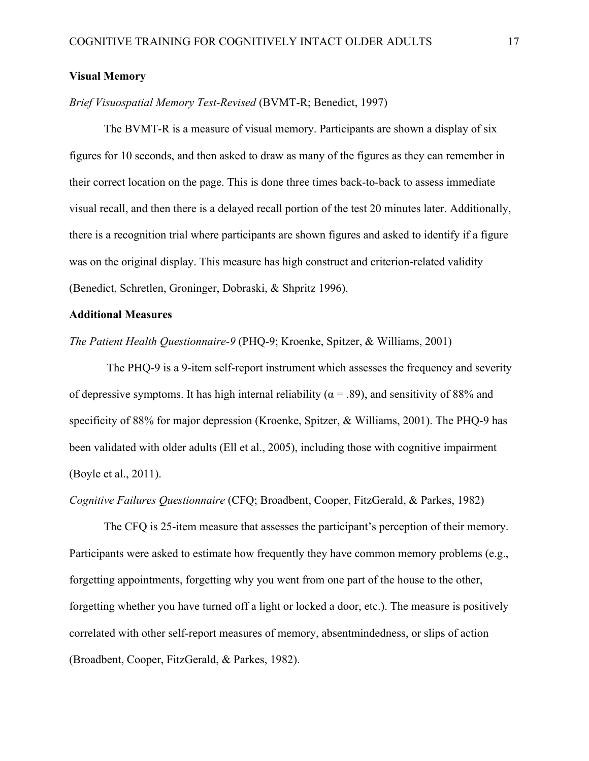## **Visual Memory**

## *Brief Visuospatial Memory Test-Revised* (BVMT-R; Benedict, 1997)

The BVMT-R is a measure of visual memory. Participants are shown a display of six figures for 10 seconds, and then asked to draw as many of the figures as they can remember in their correct location on the page. This is done three times back-to-back to assess immediate visual recall, and then there is a delayed recall portion of the test 20 minutes later. Additionally, there is a recognition trial where participants are shown figures and asked to identify if a figure was on the original display. This measure has high construct and criterion-related validity (Benedict, Schretlen, Groninger, Dobraski, & Shpritz 1996).

## **Additional Measures**

*The Patient Health Questionnaire-9* (PHQ-9; Kroenke, Spitzer, & Williams, 2001)

The PHQ-9 is a 9-item self-report instrument which assesses the frequency and severity of depressive symptoms. It has high internal reliability ( $\alpha$  = .89), and sensitivity of 88% and specificity of 88% for major depression (Kroenke, Spitzer, & Williams, 2001). The PHQ-9 has been validated with older adults (Ell et al., 2005), including those with cognitive impairment (Boyle et al., 2011).

*Cognitive Failures Questionnaire* (CFQ; Broadbent, Cooper, FitzGerald, & Parkes, 1982)

The CFQ is 25-item measure that assesses the participant's perception of their memory. Participants were asked to estimate how frequently they have common memory problems (e.g., forgetting appointments, forgetting why you went from one part of the house to the other, forgetting whether you have turned off a light or locked a door, etc.). The measure is positively correlated with other self-report measures of memory, absentmindedness, or slips of action (Broadbent, Cooper, FitzGerald, & Parkes, 1982).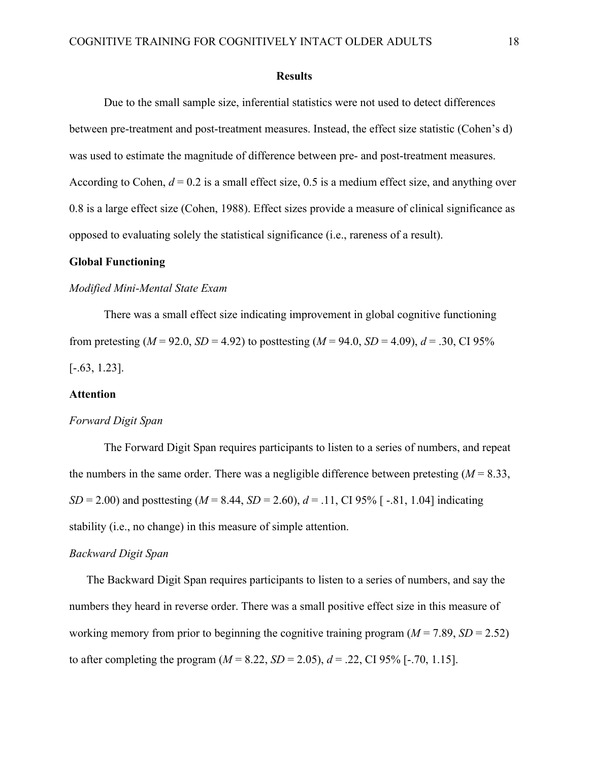#### **Results**

Due to the small sample size, inferential statistics were not used to detect differences between pre-treatment and post-treatment measures. Instead, the effect size statistic (Cohen's d) was used to estimate the magnitude of difference between pre- and post-treatment measures. According to Cohen,  $d = 0.2$  is a small effect size, 0.5 is a medium effect size, and anything over 0.8 is a large effect size (Cohen, 1988). Effect sizes provide a measure of clinical significance as opposed to evaluating solely the statistical significance (i.e., rareness of a result).

## **Global Functioning**

### *Modified Mini-Mental State Exam*

There was a small effect size indicating improvement in global cognitive functioning from pretesting ( $M = 92.0$ ,  $SD = 4.92$ ) to posttesting ( $M = 94.0$ ,  $SD = 4.09$ ),  $d = .30$ , CI 95%  $[-.63, 1.23]$ .

## **Attention**

### *Forward Digit Span*

The Forward Digit Span requires participants to listen to a series of numbers, and repeat the numbers in the same order. There was a negligible difference between pretesting  $(M = 8.33)$ , *SD* = 2.00) and posttesting (*M* = 8.44, *SD* = 2.60),  $d = .11$ , CI 95% [-.81, 1.04] indicating stability (i.e., no change) in this measure of simple attention.

### *Backward Digit Span*

The Backward Digit Span requires participants to listen to a series of numbers, and say the numbers they heard in reverse order. There was a small positive effect size in this measure of working memory from prior to beginning the cognitive training program  $(M = 7.89, SD = 2.52)$ to after completing the program  $(M = 8.22, SD = 2.05)$ ,  $d = .22$ , CI 95% [-.70, 1.15].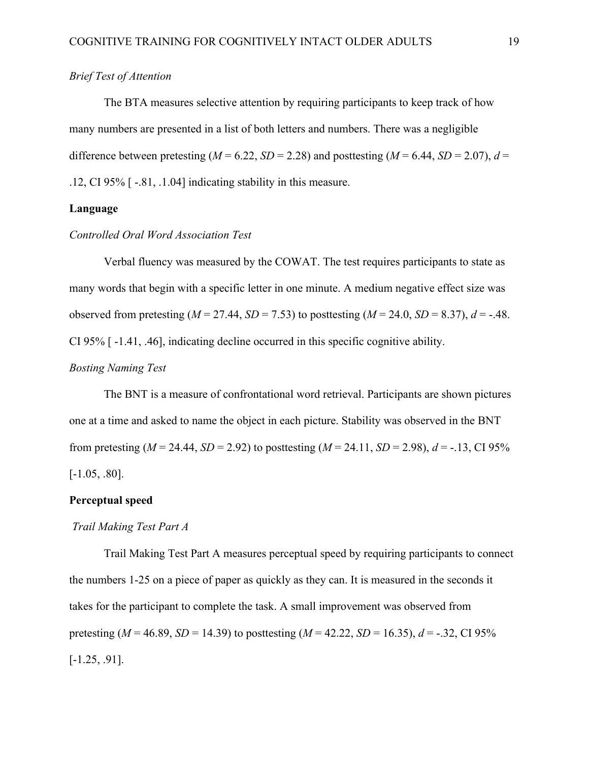## *Brief Test of Attention*

The BTA measures selective attention by requiring participants to keep track of how many numbers are presented in a list of both letters and numbers. There was a negligible difference between pretesting ( $M = 6.22$ ,  $SD = 2.28$ ) and posttesting ( $M = 6.44$ ,  $SD = 2.07$ ),  $d =$ .12, CI 95% [ -.81, .1.04] indicating stability in this measure.

## **Language**

## *Controlled Oral Word Association Test*

Verbal fluency was measured by the COWAT. The test requires participants to state as many words that begin with a specific letter in one minute. A medium negative effect size was observed from pretesting ( $M = 27.44$ ,  $SD = 7.53$ ) to posttesting ( $M = 24.0$ ,  $SD = 8.37$ ),  $d = -0.48$ . CI 95% [ -1.41, .46], indicating decline occurred in this specific cognitive ability.

## *Bosting Naming Test*

The BNT is a measure of confrontational word retrieval. Participants are shown pictures one at a time and asked to name the object in each picture. Stability was observed in the BNT from pretesting ( $M = 24.44$ ,  $SD = 2.92$ ) to posttesting ( $M = 24.11$ ,  $SD = 2.98$ ),  $d = -13$ , CI 95% [-1.05, .80].

## **Perceptual speed**

## *Trail Making Test Part A*

Trail Making Test Part A measures perceptual speed by requiring participants to connect the numbers 1-25 on a piece of paper as quickly as they can. It is measured in the seconds it takes for the participant to complete the task. A small improvement was observed from pretesting ( $M = 46.89$ ,  $SD = 14.39$ ) to posttesting ( $M = 42.22$ ,  $SD = 16.35$ ),  $d = -.32$ , CI 95%  $[-1.25, .91]$ .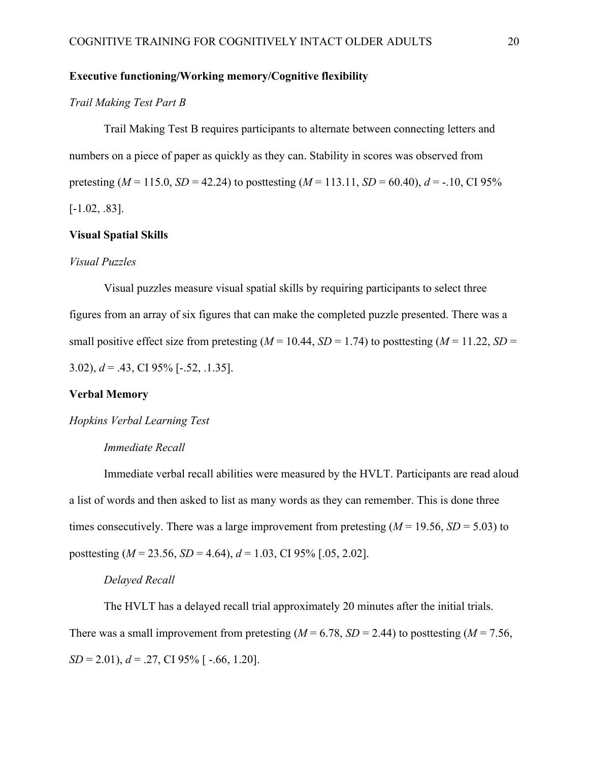## **Executive functioning/Working memory/Cognitive flexibility**

## *Trail Making Test Part B*

Trail Making Test B requires participants to alternate between connecting letters and numbers on a piece of paper as quickly as they can. Stability in scores was observed from pretesting ( $M = 115.0$ ,  $SD = 42.24$ ) to posttesting ( $M = 113.11$ ,  $SD = 60.40$ ),  $d = -.10$ , CI 95%  $[-1.02, .83]$ .

## **Visual Spatial Skills**

### *Visual Puzzles*

Visual puzzles measure visual spatial skills by requiring participants to select three figures from an array of six figures that can make the completed puzzle presented. There was a small positive effect size from pretesting  $(M = 10.44, SD = 1.74)$  to posttesting  $(M = 11.22, SD =$ 3.02), *d* = .43, CI 95% [-.52, .1.35].

## **Verbal Memory**

## *Hopkins Verbal Learning Test*

### *Immediate Recall*

Immediate verbal recall abilities were measured by the HVLT. Participants are read aloud a list of words and then asked to list as many words as they can remember. This is done three times consecutively. There was a large improvement from pretesting  $(M = 19.56, SD = 5.03)$  to posttesting (*M* = 23.56, *SD* = 4.64), *d* = 1.03, CI 95% [.05, 2.02].

#### *Delayed Recall*

The HVLT has a delayed recall trial approximately 20 minutes after the initial trials. There was a small improvement from pretesting  $(M = 6.78, SD = 2.44)$  to posttesting  $(M = 7.56,$ *SD* = 2.01), *d* = .27, *CI* 95% [-.66, 1.20].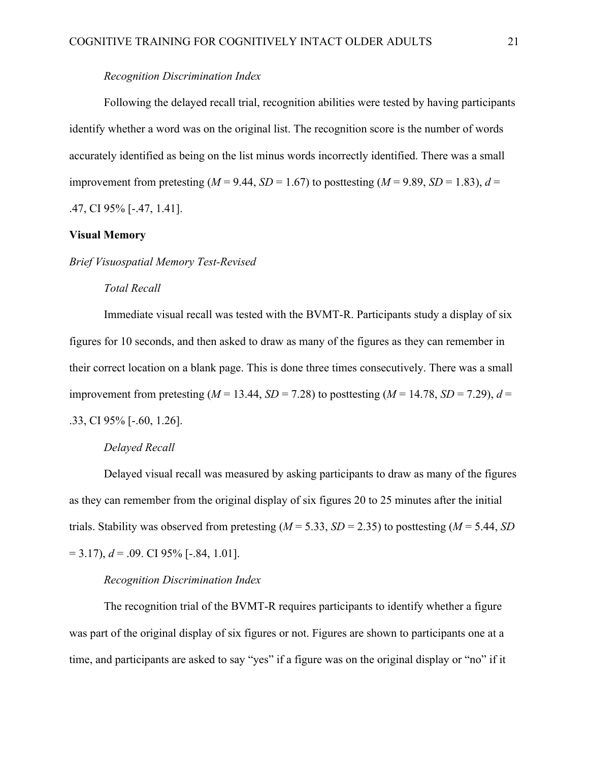## *Recognition Discrimination Index*

Following the delayed recall trial, recognition abilities were tested by having participants identify whether a word was on the original list. The recognition score is the number of words accurately identified as being on the list minus words incorrectly identified. There was a small improvement from pretesting ( $M = 9.44$ ,  $SD = 1.67$ ) to posttesting ( $M = 9.89$ ,  $SD = 1.83$ ),  $d =$ .47, CI 95% [-.47, 1.41].

### **Visual Memory**

### *Brief Visuospatial Memory Test-Revised*

## *Total Recall*

Immediate visual recall was tested with the BVMT-R. Participants study a display of six figures for 10 seconds, and then asked to draw as many of the figures as they can remember in their correct location on a blank page. This is done three times consecutively. There was a small improvement from pretesting ( $M = 13.44$ ,  $SD = 7.28$ ) to posttesting ( $M = 14.78$ ,  $SD = 7.29$ ),  $d =$ .33, CI 95% [-.60, 1.26].

### *Delayed Recall*

Delayed visual recall was measured by asking participants to draw as many of the figures as they can remember from the original display of six figures 20 to 25 minutes after the initial trials. Stability was observed from pretesting  $(M = 5.33, SD = 2.35)$  to posttesting  $(M = 5.44, SD)$  $= 3.17$ ),  $d = 0.09$ . CI 95% [-.84, 1.01].

## *Recognition Discrimination Index*

The recognition trial of the BVMT-R requires participants to identify whether a figure was part of the original display of six figures or not. Figures are shown to participants one at a time, and participants are asked to say "yes" if a figure was on the original display or "no" if it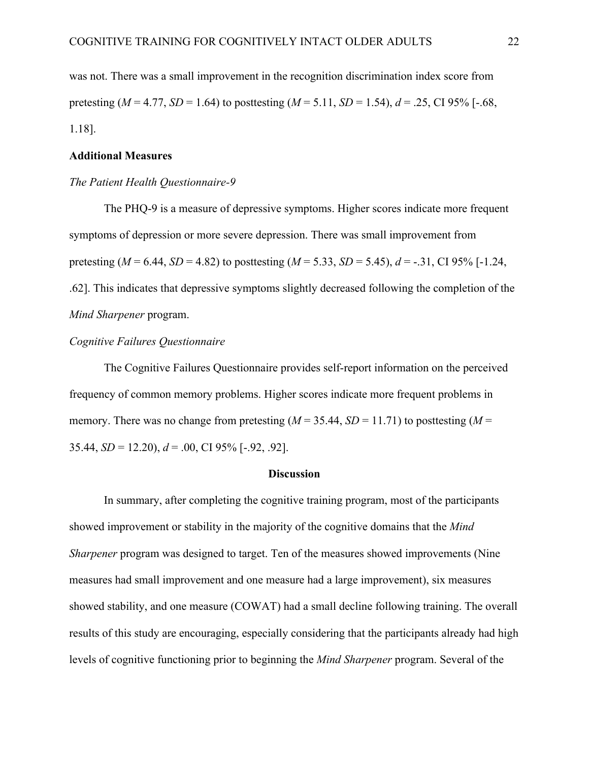was not. There was a small improvement in the recognition discrimination index score from pretesting ( $M = 4.77$ ,  $SD = 1.64$ ) to posttesting ( $M = 5.11$ ,  $SD = 1.54$ ),  $d = .25$ , CI 95% [-.68, 1.18].

## **Additional Measures**

## *The Patient Health Questionnaire-9*

The PHQ-9 is a measure of depressive symptoms. Higher scores indicate more frequent symptoms of depression or more severe depression. There was small improvement from pretesting ( $M = 6.44$ ,  $SD = 4.82$ ) to posttesting ( $M = 5.33$ ,  $SD = 5.45$ ),  $d = -0.31$ , CI 95% [-1.24, .62]. This indicates that depressive symptoms slightly decreased following the completion of the *Mind Sharpener* program.

## *Cognitive Failures Questionnaire*

The Cognitive Failures Questionnaire provides self-report information on the perceived frequency of common memory problems. Higher scores indicate more frequent problems in memory. There was no change from pretesting  $(M = 35.44, SD = 11.71)$  to posttesting  $(M = 11.71)$ 35.44, *SD* = 12.20), *d* = .00, CI 95% [-.92, .92].

### **Discussion**

In summary, after completing the cognitive training program, most of the participants showed improvement or stability in the majority of the cognitive domains that the *Mind Sharpener* program was designed to target. Ten of the measures showed improvements (Nine measures had small improvement and one measure had a large improvement), six measures showed stability, and one measure (COWAT) had a small decline following training. The overall results of this study are encouraging, especially considering that the participants already had high levels of cognitive functioning prior to beginning the *Mind Sharpener* program. Several of the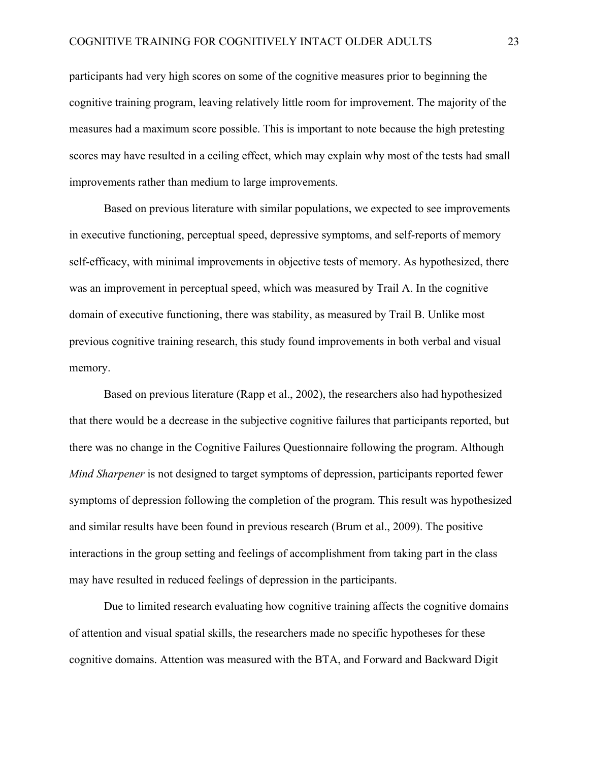participants had very high scores on some of the cognitive measures prior to beginning the cognitive training program, leaving relatively little room for improvement. The majority of the measures had a maximum score possible. This is important to note because the high pretesting scores may have resulted in a ceiling effect, which may explain why most of the tests had small improvements rather than medium to large improvements.

Based on previous literature with similar populations, we expected to see improvements in executive functioning, perceptual speed, depressive symptoms, and self-reports of memory self-efficacy, with minimal improvements in objective tests of memory. As hypothesized, there was an improvement in perceptual speed, which was measured by Trail A. In the cognitive domain of executive functioning, there was stability, as measured by Trail B. Unlike most previous cognitive training research, this study found improvements in both verbal and visual memory.

Based on previous literature (Rapp et al., 2002), the researchers also had hypothesized that there would be a decrease in the subjective cognitive failures that participants reported, but there was no change in the Cognitive Failures Questionnaire following the program. Although *Mind Sharpener* is not designed to target symptoms of depression, participants reported fewer symptoms of depression following the completion of the program. This result was hypothesized and similar results have been found in previous research (Brum et al., 2009). The positive interactions in the group setting and feelings of accomplishment from taking part in the class may have resulted in reduced feelings of depression in the participants.

Due to limited research evaluating how cognitive training affects the cognitive domains of attention and visual spatial skills, the researchers made no specific hypotheses for these cognitive domains. Attention was measured with the BTA, and Forward and Backward Digit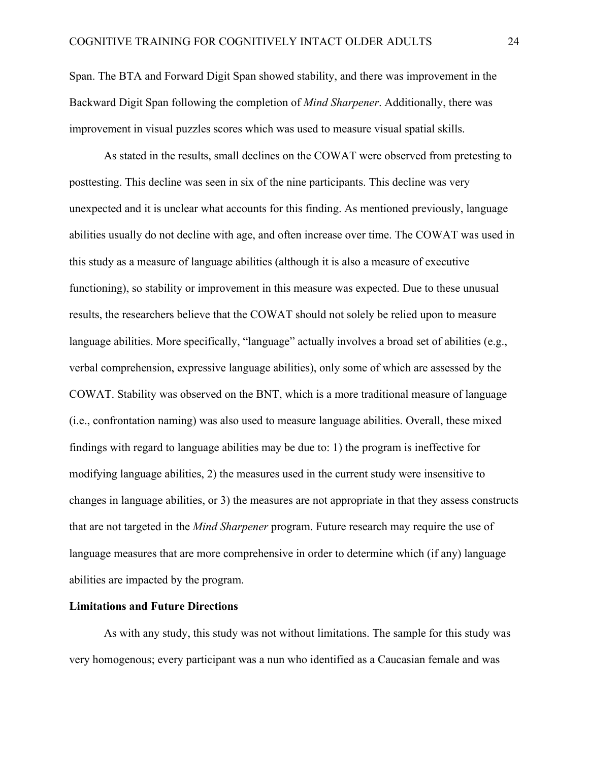Span. The BTA and Forward Digit Span showed stability, and there was improvement in the Backward Digit Span following the completion of *Mind Sharpener*. Additionally, there was improvement in visual puzzles scores which was used to measure visual spatial skills.

As stated in the results, small declines on the COWAT were observed from pretesting to posttesting. This decline was seen in six of the nine participants. This decline was very unexpected and it is unclear what accounts for this finding. As mentioned previously, language abilities usually do not decline with age, and often increase over time. The COWAT was used in this study as a measure of language abilities (although it is also a measure of executive functioning), so stability or improvement in this measure was expected. Due to these unusual results, the researchers believe that the COWAT should not solely be relied upon to measure language abilities. More specifically, "language" actually involves a broad set of abilities (e.g., verbal comprehension, expressive language abilities), only some of which are assessed by the COWAT. Stability was observed on the BNT, which is a more traditional measure of language (i.e., confrontation naming) was also used to measure language abilities. Overall, these mixed findings with regard to language abilities may be due to: 1) the program is ineffective for modifying language abilities, 2) the measures used in the current study were insensitive to changes in language abilities, or 3) the measures are not appropriate in that they assess constructs that are not targeted in the *Mind Sharpener* program. Future research may require the use of language measures that are more comprehensive in order to determine which (if any) language abilities are impacted by the program.

## **Limitations and Future Directions**

As with any study, this study was not without limitations. The sample for this study was very homogenous; every participant was a nun who identified as a Caucasian female and was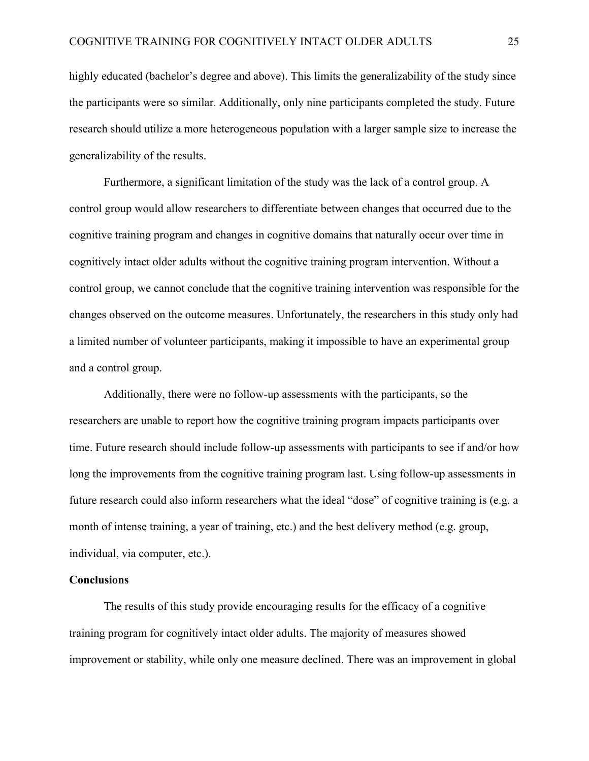highly educated (bachelor's degree and above). This limits the generalizability of the study since the participants were so similar. Additionally, only nine participants completed the study. Future research should utilize a more heterogeneous population with a larger sample size to increase the generalizability of the results.

Furthermore, a significant limitation of the study was the lack of a control group. A control group would allow researchers to differentiate between changes that occurred due to the cognitive training program and changes in cognitive domains that naturally occur over time in cognitively intact older adults without the cognitive training program intervention. Without a control group, we cannot conclude that the cognitive training intervention was responsible for the changes observed on the outcome measures. Unfortunately, the researchers in this study only had a limited number of volunteer participants, making it impossible to have an experimental group and a control group.

Additionally, there were no follow-up assessments with the participants, so the researchers are unable to report how the cognitive training program impacts participants over time. Future research should include follow-up assessments with participants to see if and/or how long the improvements from the cognitive training program last. Using follow-up assessments in future research could also inform researchers what the ideal "dose" of cognitive training is (e.g. a month of intense training, a year of training, etc.) and the best delivery method (e.g. group, individual, via computer, etc.).

## **Conclusions**

The results of this study provide encouraging results for the efficacy of a cognitive training program for cognitively intact older adults. The majority of measures showed improvement or stability, while only one measure declined. There was an improvement in global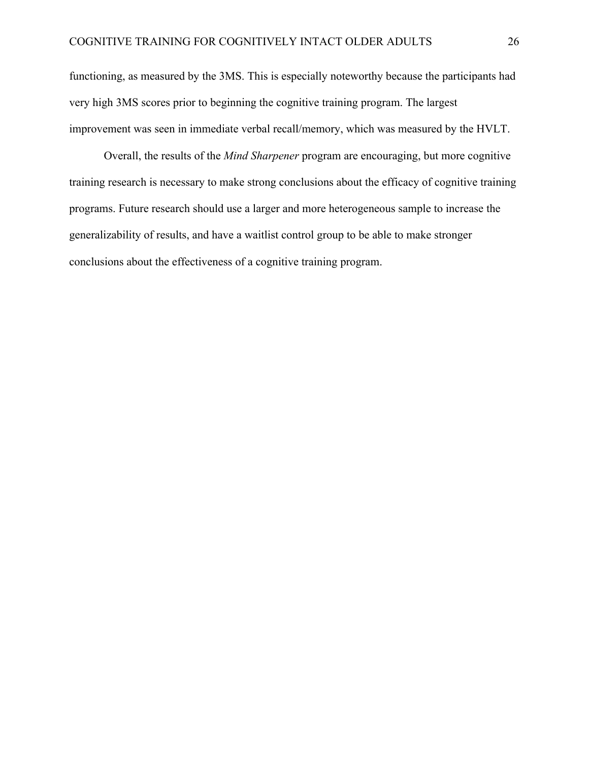functioning, as measured by the 3MS. This is especially noteworthy because the participants had very high 3MS scores prior to beginning the cognitive training program. The largest improvement was seen in immediate verbal recall/memory, which was measured by the HVLT.

Overall, the results of the *Mind Sharpener* program are encouraging, but more cognitive training research is necessary to make strong conclusions about the efficacy of cognitive training programs. Future research should use a larger and more heterogeneous sample to increase the generalizability of results, and have a waitlist control group to be able to make stronger conclusions about the effectiveness of a cognitive training program.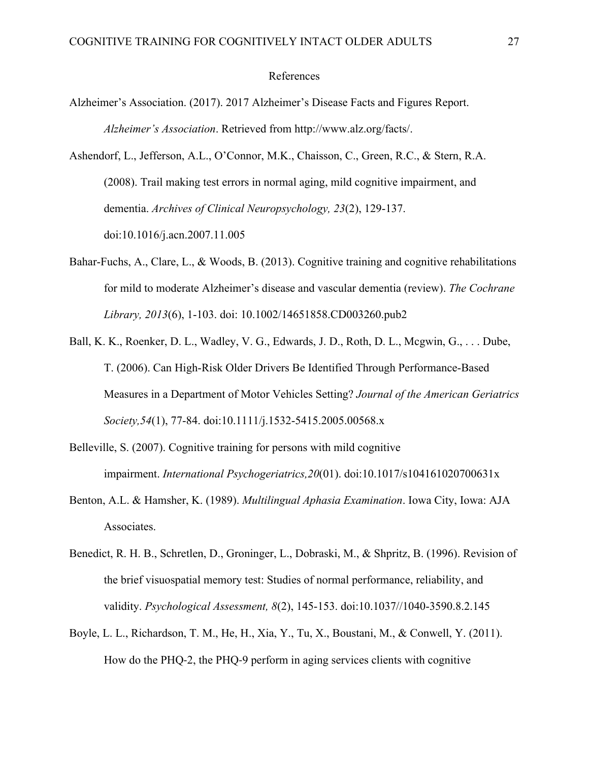### References

- Alzheimer's Association. (2017). 2017 Alzheimer's Disease Facts and Figures Report. *Alzheimer's Association*. Retrieved from http://www.alz.org/facts/.
- Ashendorf, L., Jefferson, A.L., O'Connor, M.K., Chaisson, C., Green, R.C., & Stern, R.A. (2008). Trail making test errors in normal aging, mild cognitive impairment, and dementia. *Archives of Clinical Neuropsychology, 23*(2), 129-137. doi:10.1016/j.acn.2007.11.005
- Bahar-Fuchs, A., Clare, L., & Woods, B. (2013). Cognitive training and cognitive rehabilitations for mild to moderate Alzheimer's disease and vascular dementia (review). *The Cochrane Library, 2013*(6), 1-103. doi: 10.1002/14651858.CD003260.pub2
- Ball, K. K., Roenker, D. L., Wadley, V. G., Edwards, J. D., Roth, D. L., Mcgwin, G., . . . Dube, T. (2006). Can High-Risk Older Drivers Be Identified Through Performance-Based Measures in a Department of Motor Vehicles Setting? *Journal of the American Geriatrics Society,54*(1), 77-84. doi:10.1111/j.1532-5415.2005.00568.x
- Belleville, S. (2007). Cognitive training for persons with mild cognitive impairment. *International Psychogeriatrics,20*(01). doi:10.1017/s104161020700631x
- Benton, A.L. & Hamsher, K. (1989). *Multilingual Aphasia Examination*. Iowa City, Iowa: AJA Associates.
- Benedict, R. H. B., Schretlen, D., Groninger, L., Dobraski, M., & Shpritz, B. (1996). Revision of the brief visuospatial memory test: Studies of normal performance, reliability, and validity. *Psychological Assessment, 8*(2), 145-153. doi:10.1037//1040-3590.8.2.145
- Boyle, L. L., Richardson, T. M., He, H., Xia, Y., Tu, X., Boustani, M., & Conwell, Y. (2011). How do the PHQ-2, the PHQ-9 perform in aging services clients with cognitive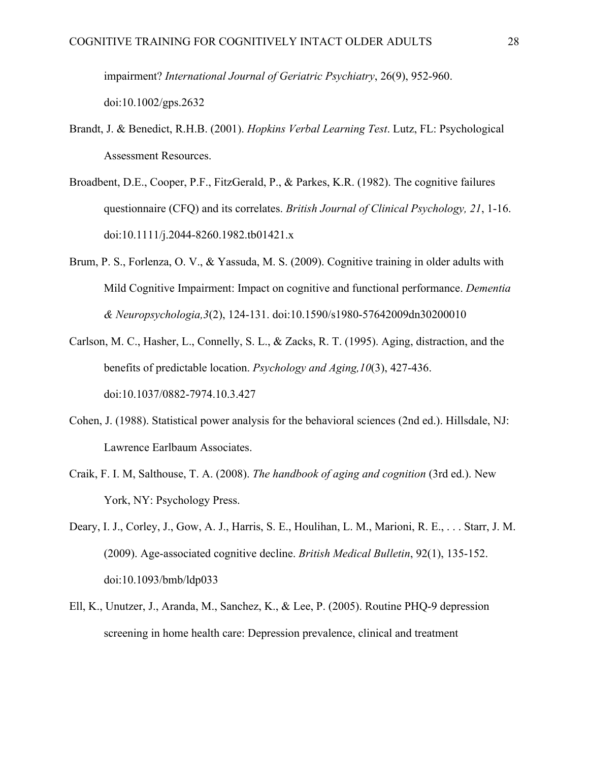impairment? *International Journal of Geriatric Psychiatry*, 26(9), 952-960. doi:10.1002/gps.2632

- Brandt, J. & Benedict, R.H.B. (2001). *Hopkins Verbal Learning Test*. Lutz, FL: Psychological Assessment Resources.
- Broadbent, D.E., Cooper, P.F., FitzGerald, P., & Parkes, K.R. (1982). The cognitive failures questionnaire (CFQ) and its correlates. *British Journal of Clinical Psychology, 21*, 1-16. doi:10.1111/j.2044-8260.1982.tb01421.x
- Brum, P. S., Forlenza, O. V., & Yassuda, M. S. (2009). Cognitive training in older adults with Mild Cognitive Impairment: Impact on cognitive and functional performance. *Dementia & Neuropsychologia,3*(2), 124-131. doi:10.1590/s1980-57642009dn30200010
- Carlson, M. C., Hasher, L., Connelly, S. L., & Zacks, R. T. (1995). Aging, distraction, and the benefits of predictable location. *Psychology and Aging,10*(3), 427-436. doi:10.1037/0882-7974.10.3.427
- Cohen, J. (1988). Statistical power analysis for the behavioral sciences (2nd ed.). Hillsdale, NJ: Lawrence Earlbaum Associates.
- Craik, F. I. M, Salthouse, T. A. (2008). *The handbook of aging and cognition* (3rd ed.). New York, NY: Psychology Press.
- Deary, I. J., Corley, J., Gow, A. J., Harris, S. E., Houlihan, L. M., Marioni, R. E., . . . Starr, J. M. (2009). Age-associated cognitive decline. *British Medical Bulletin*, 92(1), 135-152. doi:10.1093/bmb/ldp033
- Ell, K., Unutzer, J., Aranda, M., Sanchez, K., & Lee, P. (2005). Routine PHQ-9 depression screening in home health care: Depression prevalence, clinical and treatment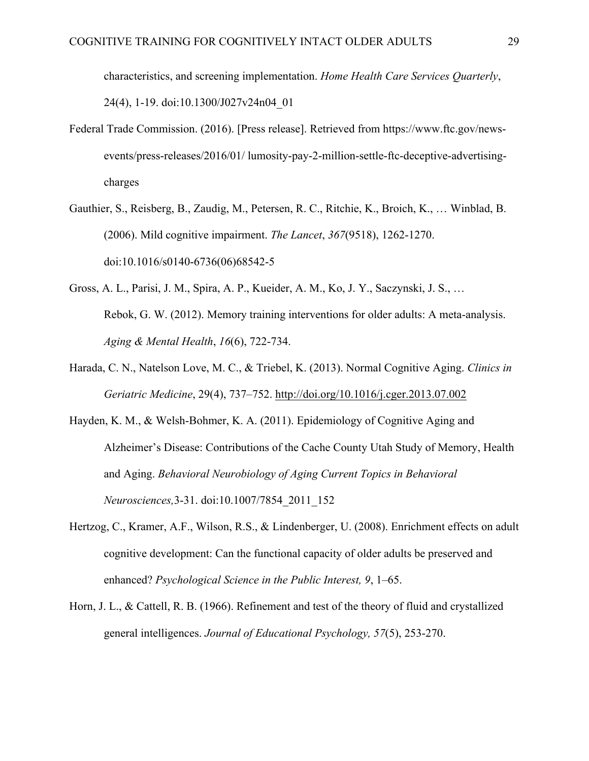characteristics, and screening implementation. *Home Health Care Services Quarterly*, 24(4), 1-19. doi:10.1300/J027v24n04\_01

- Federal Trade Commission. (2016). [Press release]. Retrieved from https://www.ftc.gov/newsevents/press-releases/2016/01/ lumosity-pay-2-million-settle-ftc-deceptive-advertisingcharges
- Gauthier, S., Reisberg, B., Zaudig, M., Petersen, R. C., Ritchie, K., Broich, K., … Winblad, B. (2006). Mild cognitive impairment. *The Lancet*, *367*(9518), 1262-1270. doi:10.1016/s0140-6736(06)68542-5
- Gross, A. L., Parisi, J. M., Spira, A. P., Kueider, A. M., Ko, J. Y., Saczynski, J. S., … Rebok, G. W. (2012). Memory training interventions for older adults: A meta-analysis. *Aging & Mental Health*, *16*(6), 722-734.
- Harada, C. N., Natelson Love, M. C., & Triebel, K. (2013). Normal Cognitive Aging. *Clinics in Geriatric Medicine*, 29(4), 737–752. http://doi.org/10.1016/j.cger.2013.07.002
- Hayden, K. M., & Welsh-Bohmer, K. A. (2011). Epidemiology of Cognitive Aging and Alzheimer's Disease: Contributions of the Cache County Utah Study of Memory, Health and Aging. *Behavioral Neurobiology of Aging Current Topics in Behavioral Neurosciences,*3-31. doi:10.1007/7854\_2011\_152
- Hertzog, C., Kramer, A.F., Wilson, R.S., & Lindenberger, U. (2008). Enrichment effects on adult cognitive development: Can the functional capacity of older adults be preserved and enhanced? *Psychological Science in the Public Interest, 9*, 1–65.
- Horn, J. L., & Cattell, R. B. (1966). Refinement and test of the theory of fluid and crystallized general intelligences. *Journal of Educational Psychology, 57*(5), 253-270.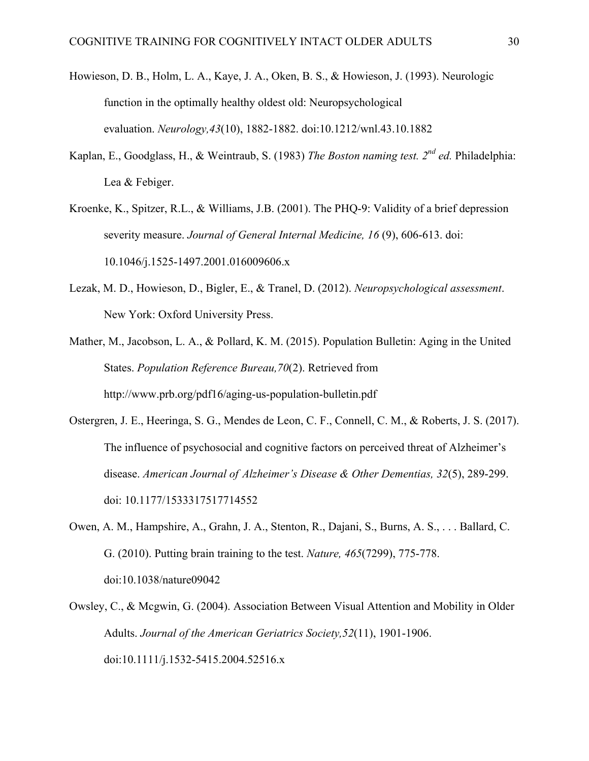- Howieson, D. B., Holm, L. A., Kaye, J. A., Oken, B. S., & Howieson, J. (1993). Neurologic function in the optimally healthy oldest old: Neuropsychological evaluation. *Neurology,43*(10), 1882-1882. doi:10.1212/wnl.43.10.1882
- Kaplan, E., Goodglass, H., & Weintraub, S. (1983) *The Boston naming test. 2nd ed.* Philadelphia: Lea & Febiger.
- Kroenke, K., Spitzer, R.L., & Williams, J.B. (2001). The PHQ-9: Validity of a brief depression severity measure. *Journal of General Internal Medicine, 16* (9), 606-613. doi: 10.1046/j.1525-1497.2001.016009606.x
- Lezak, M. D., Howieson, D., Bigler, E., & Tranel, D. (2012). *Neuropsychological assessment*. New York: Oxford University Press.
- Mather, M., Jacobson, L. A., & Pollard, K. M. (2015). Population Bulletin: Aging in the United States. *Population Reference Bureau,70*(2). Retrieved from http://www.prb.org/pdf16/aging-us-population-bulletin.pdf
- Ostergren, J. E., Heeringa, S. G., Mendes de Leon, C. F., Connell, C. M., & Roberts, J. S. (2017). The influence of psychosocial and cognitive factors on perceived threat of Alzheimer's disease. *American Journal of Alzheimer's Disease & Other Dementias, 32*(5), 289-299. doi: 10.1177/1533317517714552
- Owen, A. M., Hampshire, A., Grahn, J. A., Stenton, R., Dajani, S., Burns, A. S., . . . Ballard, C. G. (2010). Putting brain training to the test. *Nature, 465*(7299), 775-778. doi:10.1038/nature09042
- Owsley, C., & Mcgwin, G. (2004). Association Between Visual Attention and Mobility in Older Adults. *Journal of the American Geriatrics Society,52*(11), 1901-1906. doi:10.1111/j.1532-5415.2004.52516.x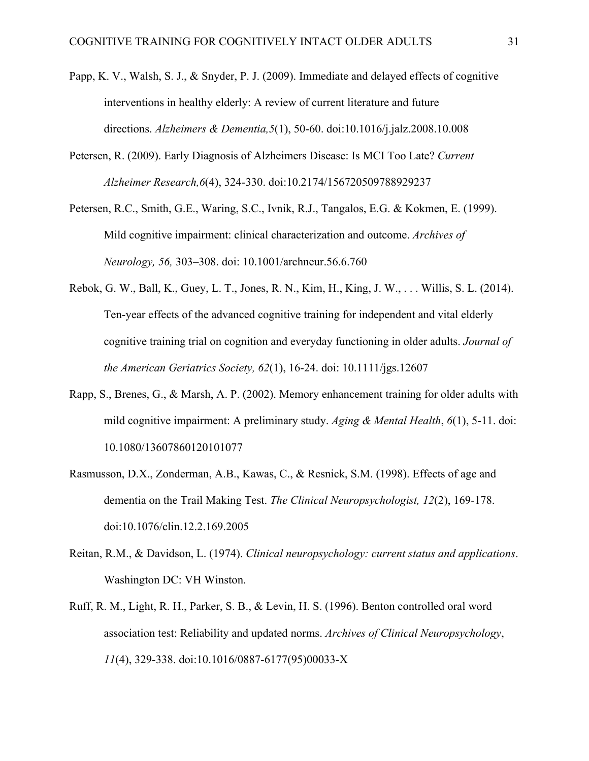- Papp, K. V., Walsh, S. J., & Snyder, P. J. (2009). Immediate and delayed effects of cognitive interventions in healthy elderly: A review of current literature and future directions. *Alzheimers & Dementia,5*(1), 50-60. doi:10.1016/j.jalz.2008.10.008
- Petersen, R. (2009). Early Diagnosis of Alzheimers Disease: Is MCI Too Late? *Current Alzheimer Research,6*(4), 324-330. doi:10.2174/156720509788929237
- Petersen, R.C., Smith, G.E., Waring, S.C., Ivnik, R.J., Tangalos, E.G. & Kokmen, E. (1999). Mild cognitive impairment: clinical characterization and outcome. *Archives of Neurology, 56,* 303–308. doi: 10.1001/archneur.56.6.760
- Rebok, G. W., Ball, K., Guey, L. T., Jones, R. N., Kim, H., King, J. W., . . . Willis, S. L. (2014). Ten-year effects of the advanced cognitive training for independent and vital elderly cognitive training trial on cognition and everyday functioning in older adults. *Journal of the American Geriatrics Society, 62*(1), 16-24. doi: 10.1111/jgs.12607
- Rapp, S., Brenes, G., & Marsh, A. P. (2002). Memory enhancement training for older adults with mild cognitive impairment: A preliminary study. *Aging & Mental Health*, *6*(1), 5-11. doi: 10.1080/13607860120101077
- Rasmusson, D.X., Zonderman, A.B., Kawas, C., & Resnick, S.M. (1998). Effects of age and dementia on the Trail Making Test. *The Clinical Neuropsychologist, 12*(2), 169-178. doi:10.1076/clin.12.2.169.2005
- Reitan, R.M., & Davidson, L. (1974). *Clinical neuropsychology: current status and applications*. Washington DC: VH Winston.
- Ruff, R. M., Light, R. H., Parker, S. B., & Levin, H. S. (1996). Benton controlled oral word association test: Reliability and updated norms. *Archives of Clinical Neuropsychology*, *11*(4), 329-338. doi:10.1016/0887-6177(95)00033-X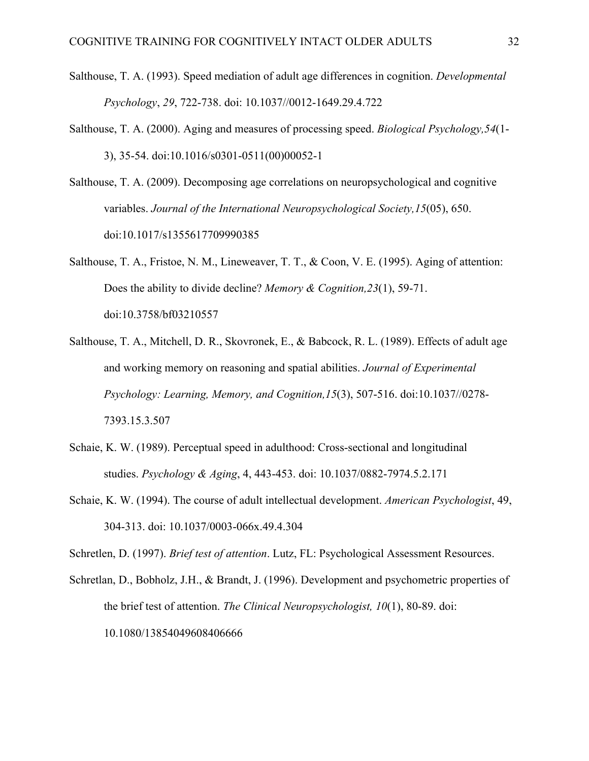- Salthouse, T. A. (1993). Speed mediation of adult age differences in cognition. *Developmental Psychology*, *29*, 722-738. doi: 10.1037//0012-1649.29.4.722
- Salthouse, T. A. (2000). Aging and measures of processing speed. *Biological Psychology,54*(1- 3), 35-54. doi:10.1016/s0301-0511(00)00052-1
- Salthouse, T. A. (2009). Decomposing age correlations on neuropsychological and cognitive variables. *Journal of the International Neuropsychological Society,15*(05), 650. doi:10.1017/s1355617709990385
- Salthouse, T. A., Fristoe, N. M., Lineweaver, T. T., & Coon, V. E. (1995). Aging of attention: Does the ability to divide decline? *Memory & Cognition,23*(1), 59-71. doi:10.3758/bf03210557
- Salthouse, T. A., Mitchell, D. R., Skovronek, E., & Babcock, R. L. (1989). Effects of adult age and working memory on reasoning and spatial abilities. *Journal of Experimental Psychology: Learning, Memory, and Cognition,15*(3), 507-516. doi:10.1037//0278- 7393.15.3.507
- Schaie, K. W. (1989). Perceptual speed in adulthood: Cross-sectional and longitudinal studies. *Psychology & Aging*, 4, 443-453. doi: 10.1037/0882-7974.5.2.171
- Schaie, K. W. (1994). The course of adult intellectual development. *American Psychologist*, 49, 304-313. doi: 10.1037/0003-066x.49.4.304

Schretlen, D. (1997). *Brief test of attention*. Lutz, FL: Psychological Assessment Resources.

Schretlan, D., Bobholz, J.H., & Brandt, J. (1996). Development and psychometric properties of the brief test of attention. *The Clinical Neuropsychologist, 10*(1), 80-89. doi: 10.1080/13854049608406666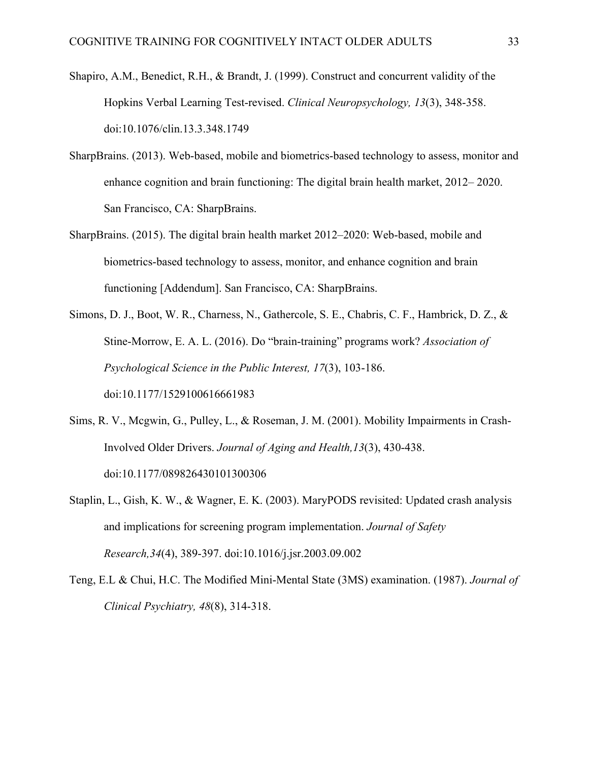- Shapiro, A.M., Benedict, R.H., & Brandt, J. (1999). Construct and concurrent validity of the Hopkins Verbal Learning Test-revised. *Clinical Neuropsychology, 13*(3), 348-358. doi:10.1076/clin.13.3.348.1749
- SharpBrains. (2013). Web-based, mobile and biometrics-based technology to assess, monitor and enhance cognition and brain functioning: The digital brain health market, 2012– 2020. San Francisco, CA: SharpBrains.
- SharpBrains. (2015). The digital brain health market 2012–2020: Web-based, mobile and biometrics-based technology to assess, monitor, and enhance cognition and brain functioning [Addendum]. San Francisco, CA: SharpBrains.
- Simons, D. J., Boot, W. R., Charness, N., Gathercole, S. E., Chabris, C. F., Hambrick, D. Z., & Stine-Morrow, E. A. L. (2016). Do "brain-training" programs work? *Association of Psychological Science in the Public Interest, 17*(3), 103-186. doi:10.1177/1529100616661983
- Sims, R. V., Mcgwin, G., Pulley, L., & Roseman, J. M. (2001). Mobility Impairments in Crash-Involved Older Drivers. *Journal of Aging and Health,13*(3), 430-438. doi:10.1177/089826430101300306
- Staplin, L., Gish, K. W., & Wagner, E. K. (2003). MaryPODS revisited: Updated crash analysis and implications for screening program implementation. *Journal of Safety Research,34*(4), 389-397. doi:10.1016/j.jsr.2003.09.002
- Teng, E.L & Chui, H.C. The Modified Mini-Mental State (3MS) examination. (1987). *Journal of Clinical Psychiatry, 48*(8), 314-318.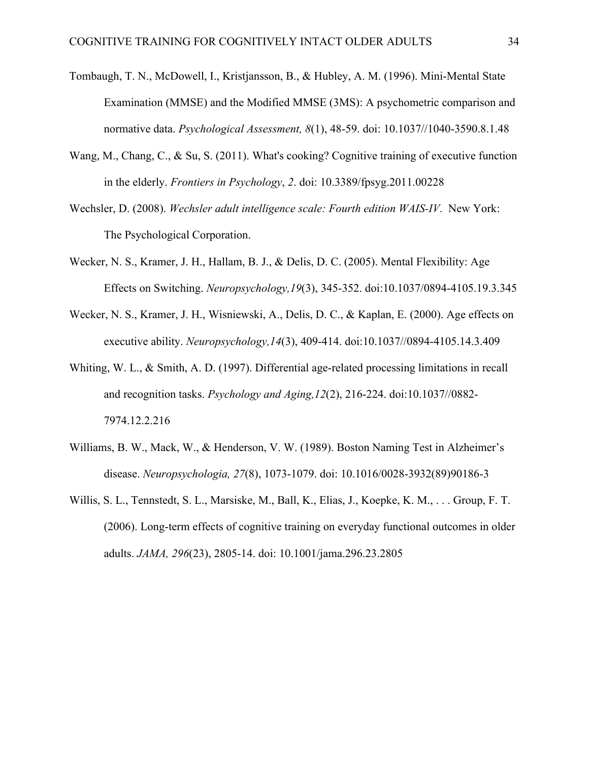- Tombaugh, T. N., McDowell, I., Kristjansson, B., & Hubley, A. M. (1996). Mini-Mental State Examination (MMSE) and the Modified MMSE (3MS): A psychometric comparison and normative data. *Psychological Assessment, 8*(1), 48-59. doi: 10.1037//1040-3590.8.1.48
- Wang, M., Chang, C., & Su, S. (2011). What's cooking? Cognitive training of executive function in the elderly. *Frontiers in Psychology*, *2*. doi: 10.3389/fpsyg.2011.00228
- Wechsler, D. (2008). *Wechsler adult intelligence scale: Fourth edition WAIS-IV*. New York: The Psychological Corporation.
- Wecker, N. S., Kramer, J. H., Hallam, B. J., & Delis, D. C. (2005). Mental Flexibility: Age Effects on Switching. *Neuropsychology,19*(3), 345-352. doi:10.1037/0894-4105.19.3.345
- Wecker, N. S., Kramer, J. H., Wisniewski, A., Delis, D. C., & Kaplan, E. (2000). Age effects on executive ability. *Neuropsychology,14*(3), 409-414. doi:10.1037//0894-4105.14.3.409
- Whiting, W. L., & Smith, A. D. (1997). Differential age-related processing limitations in recall and recognition tasks. *Psychology and Aging,12*(2), 216-224. doi:10.1037//0882- 7974.12.2.216
- Williams, B. W., Mack, W., & Henderson, V. W. (1989). Boston Naming Test in Alzheimer's disease. *Neuropsychologia, 27*(8), 1073-1079. doi: 10.1016/0028-3932(89)90186-3
- Willis, S. L., Tennstedt, S. L., Marsiske, M., Ball, K., Elias, J., Koepke, K. M., . . . Group, F. T. (2006). Long-term effects of cognitive training on everyday functional outcomes in older adults. *JAMA, 296*(23), 2805-14. doi: 10.1001/jama.296.23.2805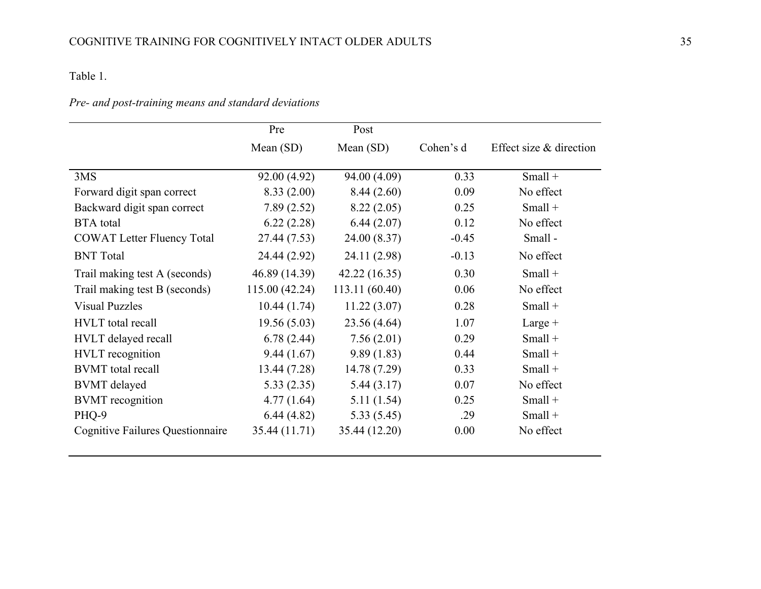## Table 1.

## *Pre- and post-training means and standard deviations*

|                                         | Pre            | Post           |           |                           |
|-----------------------------------------|----------------|----------------|-----------|---------------------------|
|                                         | Mean $(SD)$    | Mean $(SD)$    | Cohen's d | Effect size $&$ direction |
|                                         |                |                |           |                           |
| 3MS                                     | 92.00 (4.92)   | 94.00 (4.09)   | 0.33      | $Small +$                 |
| Forward digit span correct              | 8.33(2.00)     | 8.44(2.60)     | 0.09      | No effect                 |
| Backward digit span correct             | 7.89(2.52)     | 8.22(2.05)     | 0.25      | $Small +$                 |
| <b>BTA</b> total                        | 6.22(2.28)     | 6.44(2.07)     | 0.12      | No effect                 |
| <b>COWAT Letter Fluency Total</b>       | 27.44 (7.53)   | 24.00 (8.37)   | $-0.45$   | Small-                    |
| <b>BNT</b> Total                        | 24.44 (2.92)   | 24.11 (2.98)   | $-0.13$   | No effect                 |
| Trail making test A (seconds)           | 46.89 (14.39)  | 42.22(16.35)   | 0.30      | $Small +$                 |
| Trail making test B (seconds)           | 115.00 (42.24) | 113.11 (60.40) | 0.06      | No effect                 |
| <b>Visual Puzzles</b>                   | 10.44(1.74)    | 11.22(3.07)    | 0.28      | $Small +$                 |
| <b>HVLT</b> total recall                | 19.56(5.03)    | 23.56 (4.64)   | 1.07      | Large $+$                 |
| HVLT delayed recall                     | 6.78(2.44)     | 7.56(2.01)     | 0.29      | $Small +$                 |
| <b>HVLT</b> recognition                 | 9.44(1.67)     | 9.89(1.83)     | 0.44      | $Small +$                 |
| <b>BVMT</b> total recall                | 13.44 (7.28)   | 14.78 (7.29)   | 0.33      | $Small +$                 |
| <b>BVMT</b> delayed                     | 5.33(2.35)     | 5.44(3.17)     | 0.07      | No effect                 |
| <b>BVMT</b> recognition                 | 4.77(1.64)     | 5.11(1.54)     | 0.25      | $Small +$                 |
| PHQ-9                                   | 6.44(4.82)     | 5.33(5.45)     | .29       | $Small +$                 |
| <b>Cognitive Failures Questionnaire</b> | 35.44 (11.71)  | 35.44 (12.20)  | 0.00      | No effect                 |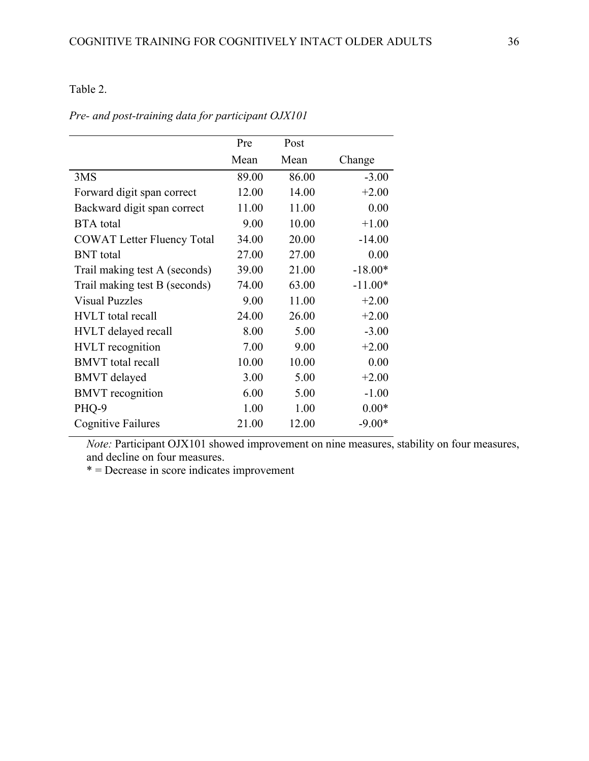## Table 2.

|                                   | Pre   | Post  |           |
|-----------------------------------|-------|-------|-----------|
|                                   | Mean  | Mean  | Change    |
| 3MS                               | 89.00 | 86.00 | $-3.00$   |
| Forward digit span correct        | 12.00 | 14.00 | $+2.00$   |
| Backward digit span correct       | 11.00 | 11.00 | 0.00      |
| <b>BTA</b> total                  | 9.00  | 10.00 | $+1.00$   |
| <b>COWAT Letter Fluency Total</b> | 34.00 | 20.00 | $-14.00$  |
| <b>BNT</b> total                  | 27.00 | 27.00 | 0.00      |
| Trail making test A (seconds)     | 39.00 | 21.00 | $-18.00*$ |
| Trail making test B (seconds)     | 74.00 | 63.00 | $-11.00*$ |
| <b>Visual Puzzles</b>             | 9.00  | 11.00 | $+2.00$   |
| <b>HVLT</b> total recall          | 24.00 | 26.00 | $+2.00$   |
| <b>HVLT</b> delayed recall        | 8.00  | 5.00  | $-3.00$   |
| <b>HVLT</b> recognition           | 7.00  | 9.00  | $+2.00$   |
| <b>BMVT</b> total recall          | 10.00 | 10.00 | 0.00      |
| <b>BMVT</b> delayed               | 3.00  | 5.00  | $+2.00$   |
| <b>BMVT</b> recognition           | 6.00  | 5.00  | $-1.00$   |
| PHQ-9                             | 1.00  | 1.00  | $0.00*$   |
| Cognitive Failures                | 21.00 | 12.00 | $-9.00*$  |

## *Pre- and post-training data for participant OJX101*

*Note: Participant OJX101 showed improvement on nine measures, stability on four measures,* and decline on four measures.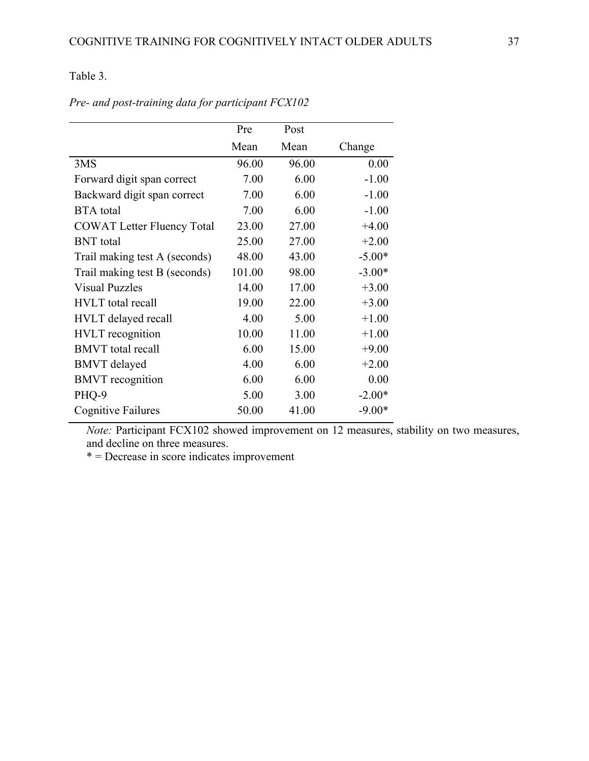## Table 3.

|                                   | Pre    | Post  |          |
|-----------------------------------|--------|-------|----------|
|                                   | Mean   | Mean  | Change   |
| 3MS                               | 96.00  | 96.00 | 0.00     |
| Forward digit span correct        | 7.00   | 6.00  | $-1.00$  |
| Backward digit span correct       | 7.00   | 6.00  | $-1.00$  |
| <b>BTA</b> total                  | 7.00   | 6.00  | $-1.00$  |
| <b>COWAT Letter Fluency Total</b> | 23.00  | 27.00 | $+4.00$  |
| <b>BNT</b> total                  | 25.00  | 27.00 | $+2.00$  |
| Trail making test A (seconds)     | 48.00  | 43.00 | $-5.00*$ |
| Trail making test B (seconds)     | 101.00 | 98.00 | $-3.00*$ |
| <b>Visual Puzzles</b>             | 14.00  | 17.00 | $+3.00$  |
| <b>HVLT</b> total recall          | 19.00  | 22.00 | $+3.00$  |
| <b>HVLT</b> delayed recall        | 4.00   | 5.00  | $+1.00$  |
| <b>HVLT</b> recognition           | 10.00  | 11.00 | $+1.00$  |
| <b>BMVT</b> total recall          | 6.00   | 15.00 | $+9.00$  |
| <b>BMVT</b> delayed               | 4.00   | 6.00  | $+2.00$  |
| <b>BMVT</b> recognition           | 6.00   | 6.00  | 0.00     |
| PHQ-9                             | 5.00   | 3.00  | $-2.00*$ |
| <b>Cognitive Failures</b>         | 50.00  | 41.00 | $-9.00*$ |

*Pre- and post-training data for participant FCX102*

*Note: Participant FCX102 showed improvement on 12 measures, stability on two measures,* and decline on three measures.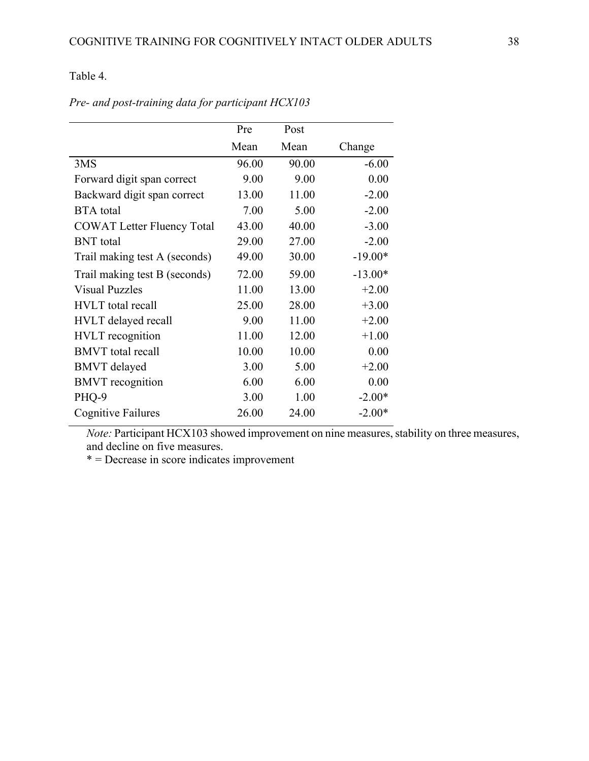Table 4.

|                                   | Pre   | Post  |           |
|-----------------------------------|-------|-------|-----------|
|                                   | Mean  | Mean  | Change    |
| 3MS                               | 96.00 | 90.00 | $-6.00$   |
| Forward digit span correct        | 9.00  | 9.00  | 0.00      |
| Backward digit span correct       | 13.00 | 11.00 | $-2.00$   |
| <b>BTA</b> total                  | 7.00  | 5.00  | $-2.00$   |
| <b>COWAT Letter Fluency Total</b> | 43.00 | 40.00 | $-3.00$   |
| <b>BNT</b> total                  | 29.00 | 27.00 | $-2.00$   |
| Trail making test A (seconds)     | 49.00 | 30.00 | $-19.00*$ |
| Trail making test B (seconds)     | 72.00 | 59.00 | $-13.00*$ |
| <b>Visual Puzzles</b>             | 11.00 | 13.00 | $+2.00$   |
| <b>HVLT</b> total recall          | 25.00 | 28.00 | $+3.00$   |
| HVLT delayed recall               | 9.00  | 11.00 | $+2.00$   |
| <b>HVLT</b> recognition           | 11.00 | 12.00 | $+1.00$   |
| <b>BMVT</b> total recall          | 10.00 | 10.00 | 0.00      |
| <b>BMVT</b> delayed               | 3.00  | 5.00  | $+2.00$   |
| <b>BMVT</b> recognition           | 6.00  | 6.00  | 0.00      |
| PHQ-9                             | 3.00  | 1.00  | $-2.00*$  |
| Cognitive Failures                | 26.00 | 24.00 | $-2.00*$  |

*Pre- and post-training data for participant HCX103*

*Note: Participant HCX103 showed improvement on nine measures, stability on three measures,* and decline on five measures.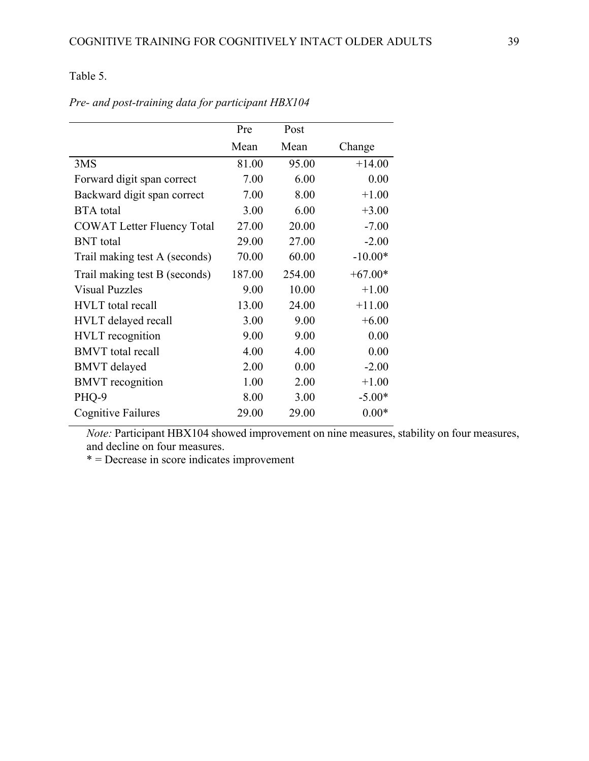## Table 5.

|                                   | Pre    | Post   |           |
|-----------------------------------|--------|--------|-----------|
|                                   | Mean   | Mean   | Change    |
| 3MS                               | 81.00  | 95.00  | $+14.00$  |
| Forward digit span correct        | 7.00   | 6.00   | 0.00      |
| Backward digit span correct       | 7.00   | 8.00   | $+1.00$   |
| <b>BTA</b> total                  | 3.00   | 6.00   | $+3.00$   |
| <b>COWAT Letter Fluency Total</b> | 27.00  | 20.00  | $-7.00$   |
| <b>BNT</b> total                  | 29.00  | 27.00  | $-2.00$   |
| Trail making test A (seconds)     | 70.00  | 60.00  | $-10.00*$ |
| Trail making test B (seconds)     | 187.00 | 254.00 | $+67.00*$ |
| <b>Visual Puzzles</b>             | 9.00   | 10.00  | $+1.00$   |
| <b>HVLT</b> total recall          | 13.00  | 24.00  | $+11.00$  |
| <b>HVLT</b> delayed recall        | 3.00   | 9.00   | $+6.00$   |
| <b>HVLT</b> recognition           | 9.00   | 9.00   | 0.00      |
| <b>BMVT</b> total recall          | 4.00   | 4.00   | 0.00      |
| <b>BMVT</b> delayed               | 2.00   | 0.00   | $-2.00$   |
| <b>BMVT</b> recognition           | 1.00   | 2.00   | $+1.00$   |
| PHQ-9                             | 8.00   | 3.00   | $-5.00*$  |
| Cognitive Failures                | 29.00  | 29.00  | $0.00*$   |

*Pre- and post-training data for participant HBX104*

*Note: Participant HBX104 showed improvement on nine measures, stability on four measures,* and decline on four measures.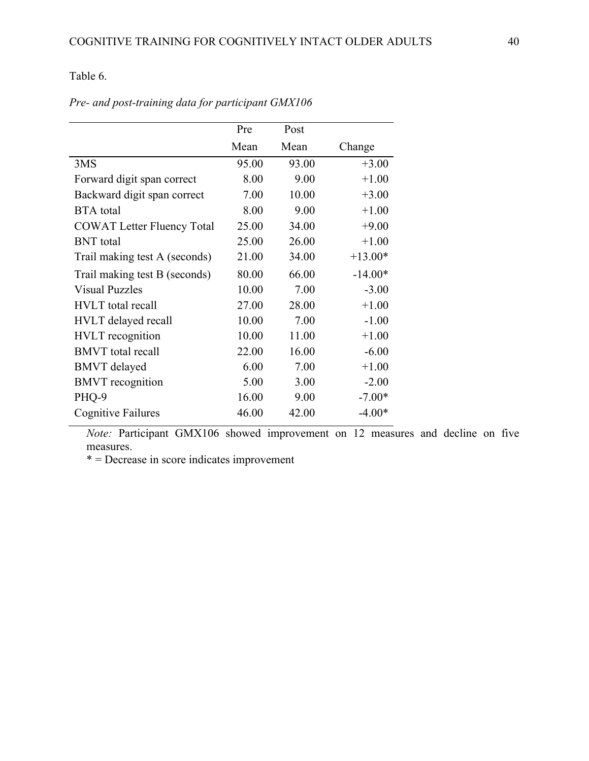Table 6.

|                                   | Pre   | Post  |           |
|-----------------------------------|-------|-------|-----------|
|                                   | Mean  | Mean  | Change    |
| 3MS                               | 95.00 | 93.00 | $+3.00$   |
| Forward digit span correct        | 8.00  | 9.00  | $+1.00$   |
| Backward digit span correct       | 7.00  | 10.00 | $+3.00$   |
| <b>BTA</b> total                  | 8.00  | 9.00  | $+1.00$   |
| <b>COWAT Letter Fluency Total</b> | 25.00 | 34.00 | $+9.00$   |
| <b>BNT</b> total                  | 25.00 | 26.00 | $+1.00$   |
| Trail making test A (seconds)     | 21.00 | 34.00 | $+13.00*$ |
| Trail making test B (seconds)     | 80.00 | 66.00 | $-14.00*$ |
| <b>Visual Puzzles</b>             | 10.00 | 7.00  | $-3.00$   |
| <b>HVLT</b> total recall          | 27.00 | 28.00 | $+1.00$   |
| HVLT delayed recall               | 10.00 | 7.00  | $-1.00$   |
| <b>HVLT</b> recognition           | 10.00 | 11.00 | $+1.00$   |
| <b>BMVT</b> total recall          | 22.00 | 16.00 | $-6.00$   |
| <b>BMVT</b> delayed               | 6.00  | 7.00  | $+1.00$   |
| <b>BMVT</b> recognition           | 5.00  | 3.00  | $-2.00$   |
| PHQ-9                             | 16.00 | 9.00  | $-7.00*$  |
| Cognitive Failures                | 46.00 | 42.00 | $-4.00*$  |

*Pre- and post-training data for participant GMX106*

*Note:* Participant GMX106 showed improvement on 12 measures and decline on five measures.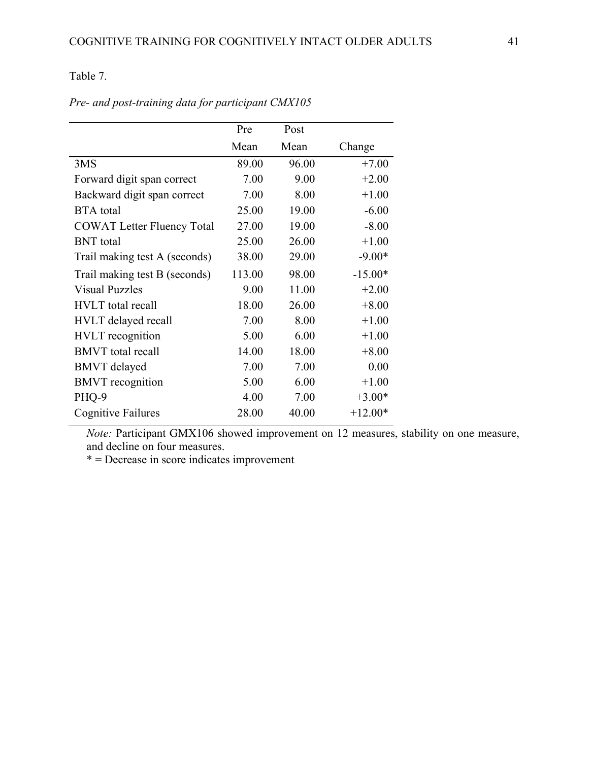## Table 7.

|                                   | Pre    | Post  |           |
|-----------------------------------|--------|-------|-----------|
|                                   | Mean   | Mean  | Change    |
| 3MS                               | 89.00  | 96.00 | $+7.00$   |
| Forward digit span correct        | 7.00   | 9.00  | $+2.00$   |
| Backward digit span correct       | 7.00   | 8.00  | $+1.00$   |
| <b>BTA</b> total                  | 25.00  | 19.00 | $-6.00$   |
| <b>COWAT Letter Fluency Total</b> | 27.00  | 19.00 | $-8.00$   |
| <b>BNT</b> total                  | 25.00  | 26.00 | $+1.00$   |
| Trail making test A (seconds)     | 38.00  | 29.00 | $-9.00*$  |
| Trail making test B (seconds)     | 113.00 | 98.00 | $-15.00*$ |
| <b>Visual Puzzles</b>             | 9.00   | 11.00 | $+2.00$   |
| <b>HVLT</b> total recall          | 18.00  | 26.00 | $+8.00$   |
| HVLT delayed recall               | 7.00   | 8.00  | $+1.00$   |
| <b>HVLT</b> recognition           | 5.00   | 6.00  | $+1.00$   |
| <b>BMVT</b> total recall          | 14.00  | 18.00 | $+8.00$   |
| <b>BMVT</b> delayed               | 7.00   | 7.00  | 0.00      |
| <b>BMVT</b> recognition           | 5.00   | 6.00  | $+1.00$   |
| PHQ-9                             | 4.00   | 7.00  | $+3.00*$  |
| Cognitive Failures                | 28.00  | 40.00 | $+12.00*$ |

*Pre- and post-training data for participant CMX105*

*Note: Participant GMX106 showed improvement on 12 measures, stability on one measure,* and decline on four measures.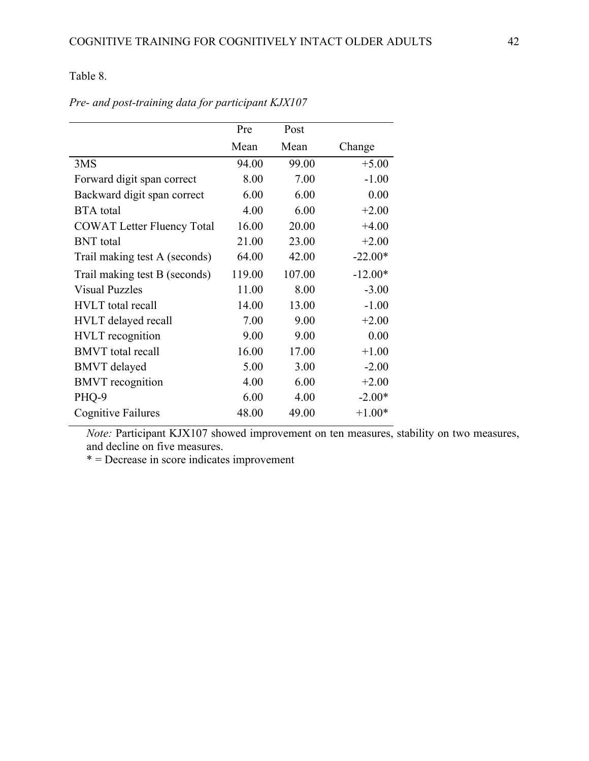Table 8.

|                                   | Pre    | Post   |           |
|-----------------------------------|--------|--------|-----------|
|                                   | Mean   | Mean   | Change    |
| 3MS                               | 94.00  | 99.00  | $+5.00$   |
| Forward digit span correct        | 8.00   | 7.00   | $-1.00$   |
| Backward digit span correct       | 6.00   | 6.00   | 0.00      |
| <b>BTA</b> total                  | 4.00   | 6.00   | $+2.00$   |
| <b>COWAT Letter Fluency Total</b> | 16.00  | 20.00  | $+4.00$   |
| <b>BNT</b> total                  | 21.00  | 23.00  | $+2.00$   |
| Trail making test A (seconds)     | 64.00  | 42.00  | $-22.00*$ |
| Trail making test B (seconds)     | 119.00 | 107.00 | $-12.00*$ |
| <b>Visual Puzzles</b>             | 11.00  | 8.00   | $-3.00$   |
| <b>HVLT</b> total recall          | 14.00  | 13.00  | $-1.00$   |
| HVLT delayed recall               | 7.00   | 9.00   | $+2.00$   |
| <b>HVLT</b> recognition           | 9.00   | 9.00   | 0.00      |
| <b>BMVT</b> total recall          | 16.00  | 17.00  | $+1.00$   |
| <b>BMVT</b> delayed               | 5.00   | 3.00   | $-2.00$   |
| <b>BMVT</b> recognition           | 4.00   | 6.00   | $+2.00$   |
| PHQ-9                             | 6.00   | 4.00   | $-2.00*$  |
| Cognitive Failures                | 48.00  | 49.00  | $+1.00*$  |

*Pre- and post-training data for participant KJX107*

*Note: Participant KJX107 showed improvement on ten measures, stability on two measures,* and decline on five measures.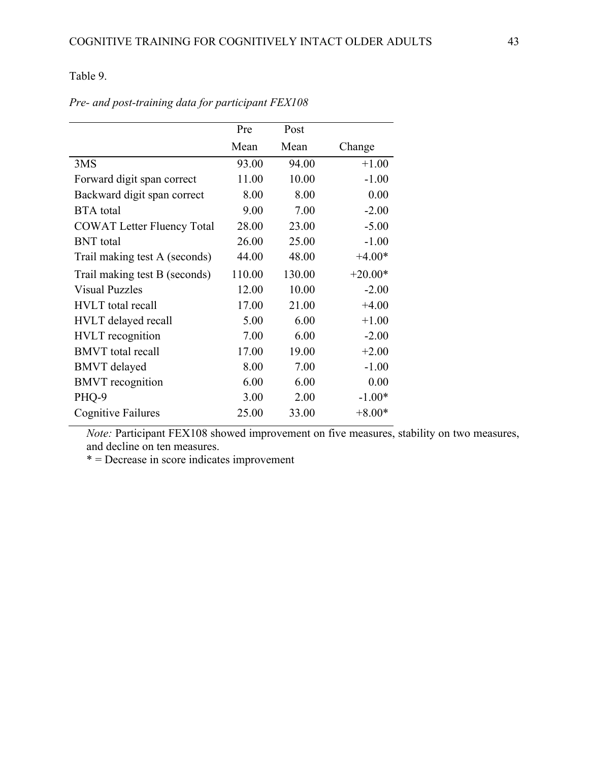Table 9.

|                                   | Pre    | Post   |           |
|-----------------------------------|--------|--------|-----------|
|                                   | Mean   | Mean   | Change    |
| 3MS                               | 93.00  | 94.00  | $+1.00$   |
| Forward digit span correct        | 11.00  | 10.00  | $-1.00$   |
| Backward digit span correct       | 8.00   | 8.00   | 0.00      |
| <b>BTA</b> total                  | 9.00   | 7.00   | $-2.00$   |
| <b>COWAT Letter Fluency Total</b> | 28.00  | 23.00  | $-5.00$   |
| <b>BNT</b> total                  | 26.00  | 25.00  | $-1.00$   |
| Trail making test A (seconds)     | 44.00  | 48.00  | $+4.00*$  |
| Trail making test B (seconds)     | 110.00 | 130.00 | $+20.00*$ |
| <b>Visual Puzzles</b>             | 12.00  | 10.00  | $-2.00$   |
| <b>HVLT</b> total recall          | 17.00  | 21.00  | $+4.00$   |
| HVLT delayed recall               | 5.00   | 6.00   | $+1.00$   |
| <b>HVLT</b> recognition           | 7.00   | 6.00   | $-2.00$   |
| <b>BMVT</b> total recall          | 17.00  | 19.00  | $+2.00$   |
| <b>BMVT</b> delayed               | 8.00   | 7.00   | $-1.00$   |
| <b>BMVT</b> recognition           | 6.00   | 6.00   | 0.00      |
| PHQ-9                             | 3.00   | 2.00   | $-1.00*$  |
| Cognitive Failures                | 25.00  | 33.00  | $+8.00*$  |

*Pre- and post-training data for participant FEX108*

*Note: Participant FEX108 showed improvement on five measures, stability on two measures,* and decline on ten measures.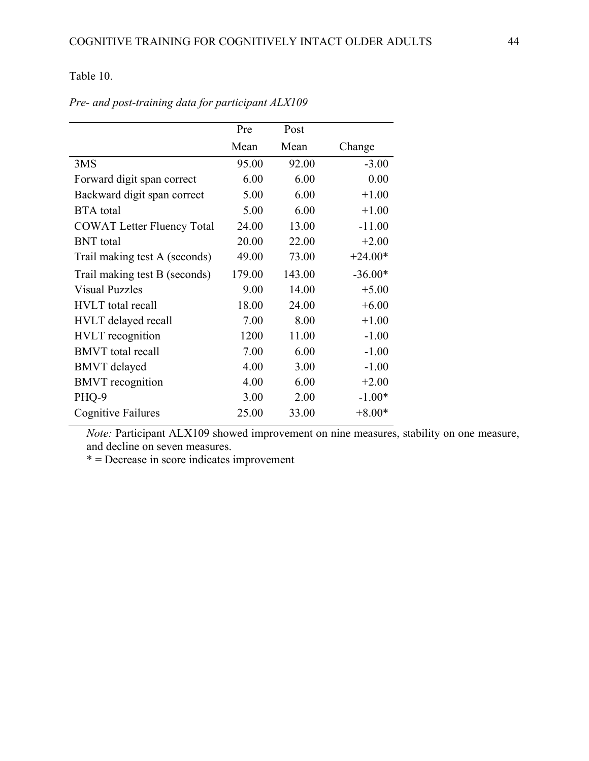## Table 10.

|                                   | Pre    | Post   |           |
|-----------------------------------|--------|--------|-----------|
|                                   | Mean   | Mean   | Change    |
| 3MS                               | 95.00  | 92.00  | $-3.00$   |
| Forward digit span correct        | 6.00   | 6.00   | 0.00      |
| Backward digit span correct       | 5.00   | 6.00   | $+1.00$   |
| <b>BTA</b> total                  | 5.00   | 6.00   | $+1.00$   |
| <b>COWAT Letter Fluency Total</b> | 24.00  | 13.00  | $-11.00$  |
| <b>BNT</b> total                  | 20.00  | 22.00  | $+2.00$   |
| Trail making test A (seconds)     | 49.00  | 73.00  | $+24.00*$ |
| Trail making test B (seconds)     | 179.00 | 143.00 | $-36.00*$ |
| <b>Visual Puzzles</b>             | 9.00   | 14.00  | $+5.00$   |
| <b>HVLT</b> total recall          | 18.00  | 24.00  | $+6.00$   |
| <b>HVLT</b> delayed recall        | 7.00   | 8.00   | $+1.00$   |
| <b>HVLT</b> recognition           | 1200   | 11.00  | $-1.00$   |
| <b>BMVT</b> total recall          | 7.00   | 6.00   | $-1.00$   |
| <b>BMVT</b> delayed               | 4.00   | 3.00   | $-1.00$   |
| <b>BMVT</b> recognition           | 4.00   | 6.00   | $+2.00$   |
| PHQ-9                             | 3.00   | 2.00   | $-1.00*$  |
| Cognitive Failures                | 25.00  | 33.00  | $+8.00*$  |

*Pre- and post-training data for participant ALX109*

*Note: Participant ALX109 showed improvement on nine measures, stability on one measure,* and decline on seven measures.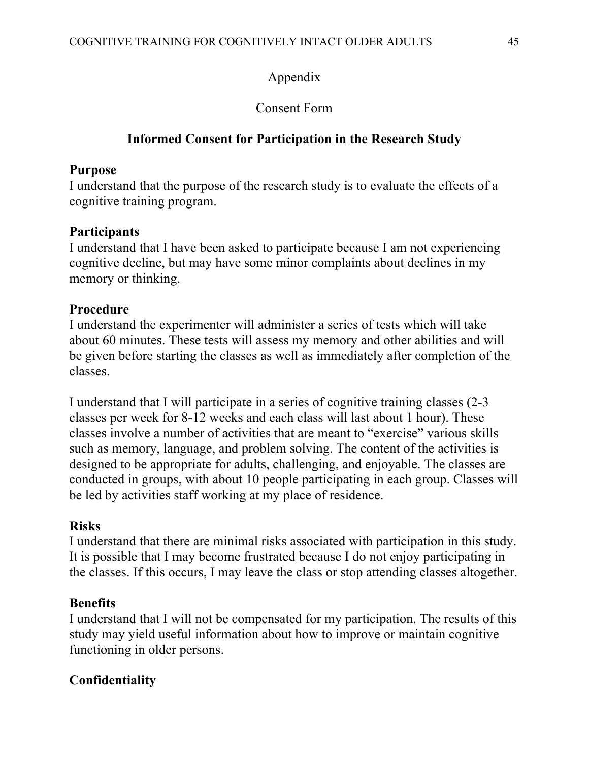## Appendix

## Consent Form

## **Informed Consent for Participation in the Research Study**

## **Purpose**

I understand that the purpose of the research study is to evaluate the effects of a cognitive training program.

## **Participants**

I understand that I have been asked to participate because I am not experiencing cognitive decline, but may have some minor complaints about declines in my memory or thinking.

## **Procedure**

I understand the experimenter will administer a series of tests which will take about 60 minutes. These tests will assess my memory and other abilities and will be given before starting the classes as well as immediately after completion of the classes.

I understand that I will participate in a series of cognitive training classes (2-3 classes per week for 8-12 weeks and each class will last about 1 hour). These classes involve a number of activities that are meant to "exercise" various skills such as memory, language, and problem solving. The content of the activities is designed to be appropriate for adults, challenging, and enjoyable. The classes are conducted in groups, with about 10 people participating in each group. Classes will be led by activities staff working at my place of residence.

## **Risks**

I understand that there are minimal risks associated with participation in this study. It is possible that I may become frustrated because I do not enjoy participating in the classes. If this occurs, I may leave the class or stop attending classes altogether.

## **Benefits**

I understand that I will not be compensated for my participation. The results of this study may yield useful information about how to improve or maintain cognitive functioning in older persons.

## **Confidentiality**